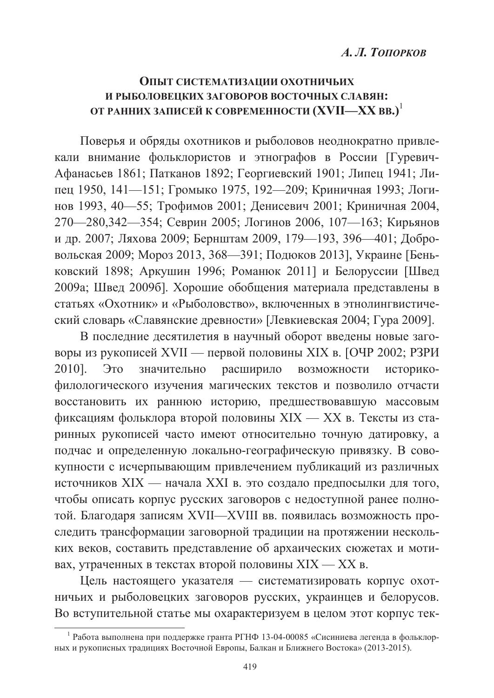# ОПЫТ СИСТЕМАТИЗАЦИИ ОХОТНИЧЬИХ И РЫБОЛОВЕНКИХ ЗАГОВОРОВ ВОСТОЧНЫХ СЛАВЯН: ОТ РАННИХ ЗАПИСЕЙ К СОВРЕМЕННОСТИ (XVII—XX ВВ.)<sup>1</sup>

Поверья и обряды охотников и рыболовов неоднократно привлекали внимание фольклористов и этнографов в России [Гуревич-Афанасьев 1861; Патканов 1892; Георгиевский 1901; Липец 1941; Липец 1950, 141—151; Громыко 1975, 192—209; Криничная 1993; Логинов 1993, 40-55; Трофимов 2001; Денисевич 2001; Криничная 2004, 270—280,342—354; Севрин 2005; Логинов 2006, 107—163; Кирьянов и др. 2007; Ляхова 2009; Бернштам 2009, 179—193, 396—401; Добровольская 2009; Мороз 2013, 368—391; Подюков 2013], Украине [Беньковский 1898; Аркушин 1996; Романюк 2011] и Белоруссии [Швед 2009а; Швед 2009б]. Хорошие обобщения материала представлены в статьях «Охотник» и «Рыболовство», включенных в этнолингвистический словарь «Славянские древности» [Левкиевская 2004; Гура 2009].

В последние десятилетия в научный оборот введены новые заговоры из рукописей XVII — первой половины XIX в. [ОЧР 2002; РЗРИ 2010].  $2TQ$ значительно расширило возможности историкофилологического изучения магических текстов и позволило отчасти восстановить их раннюю историю, предшествовавшую массовым фиксациям фольклора второй половины XIX — XX в. Тексты из старинных рукописей часто имеют относительно точную датировку, а подчас и определенную локально-географическую привязку. В совокупности с исчерпывающим привлечением публикаций из различных источников XIX — начала XXI в. это создало предпосылки для того, чтобы описать корпус русских заговоров с недоступной ранее полнотой. Благодаря записям XVII—XVIII вв. появилась возможность проследить трансформации заговорной традиции на протяжении нескольких веков, составить представление об архаических сюжетах и мотивах, утраченных в текстах второй половины XIX - XX в.

Цель настоящего указателя - систематизировать корпус охотничьих и рыболовецких заговоров русских, украинцев и белорусов. Во вступительной статье мы охарактеризуем в целом этот корпус тек-

<sup>&</sup>lt;sup>1</sup> Работа выполнена при поддержке гранта РГНФ 13-04-00085 «Сисиниева легенда в фольклорных и рукописных традициях Восточной Европы, Балкан и Ближнего Востока» (2013-2015).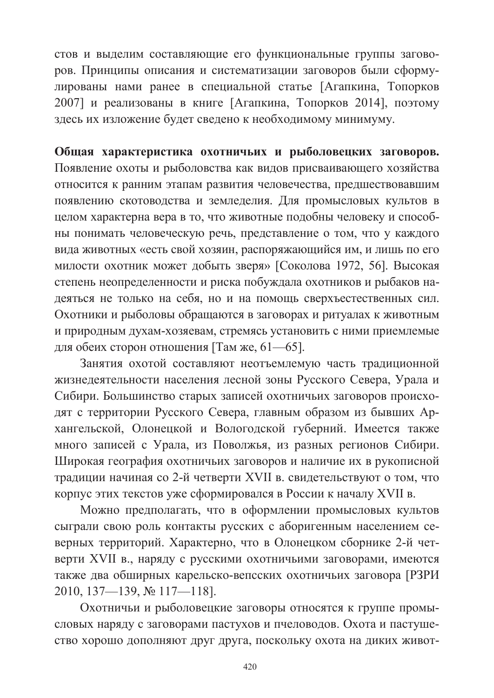стов и выделим составляющие его функциональные группы заговоров. Принципы описания и систематизации заговоров были сформулированы нами ранее в специальной статье [Агапкина, Топорков 2007] и реализованы в книге [Агапкина, Топорков 2014], поэтому здесь их изложение будет сведено к необходимому минимуму.

Общая характеристика охотничьих и рыболовецких заговоров. Появление охоты и рыболовства как видов присваивающего хозяйства относится к ранним этапам развития человечества, предшествовавшим появлению скотоводства и земледелия. Для промысловых культов в целом характерна вера в то, что животные подобны человеку и способны понимать человеческую речь, представление о том, что у каждого вида животных «есть свой хозяин, распоряжающийся им, и лишь по его милости охотник может добыть зверя» [Соколова 1972, 56]. Высокая степень неопределенности и риска побуждала охотников и рыбаков надеяться не только на себя, но и на помощь сверхъестественных сил. Охотники и рыболовы обращаются в заговорах и ритуалах к животным и природным духам-хозяевам, стремясь установить с ними приемлемые для обеих сторон отношения [Там же, 61-65].

Занятия охотой составляют неотъемлемую часть традиционной жизнедеятельности населения лесной зоны Русского Севера. Урала и Сибири. Большинство старых записей охотничьих заговоров происходят с территории Русского Севера, главным образом из бывших Архангельской. Олонецкой и Вологолской губерний. Имеется также много записей с Урала, из Поволжья, из разных регионов Сибири. Широкая география охотничьих заговоров и наличие их в рукописной традиции начиная со 2-й четверти XVII в. свидетельствуют о том, что корпус этих текстов уже сформировался в России к началу XVII в.

Можно предполагать, что в оформлении промысловых культов сыграли свою роль контакты русских с аборигенным населением северных территорий. Характерно, что в Олонецком сборнике 2-й четверти XVII в., наряду с русскими охотничьими заговорами, имеются также два обширных карельско-вепсских охотничьих заговора [РЗРИ 2010, 137-139, № 117-118].

Охотничьи и рыболовецкие заговоры относятся к группе промысловых наряду с заговорами пастухов и пчеловодов. Охота и пастушество хорошо дополняют друг друга, поскольку охота на диких живот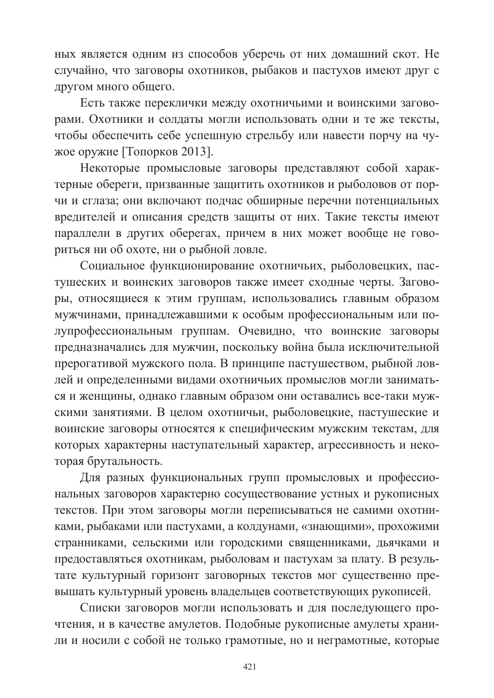ных является одним из способов уберечь от них домашний скот. Не случайно, что заговоры охотников, рыбаков и пастухов имеют друг с другом много общего.

Есть также переклички между охотничьими и воинскими заговорами. Охотники и солдаты могли использовать одни и те же тексты, чтобы обеспечить себе успешную стрельбу или навести порчу на чужое оружие [Топорков 2013].

Некоторые промысловые заговоры представляют собой характерные обереги, призванные защитить охотников и рыболовов от порчи и сглаза; они включают подчас обширные перечни потенциальных вредителей и описания средств защиты от них. Такие тексты имеют параллели в других оберегах, причем в них может вообще не говориться ни об охоте, ни о рыбной ловле.

Социальное функционирование охотничьих, рыболовецких, пастушеских и воинских заговоров также имеет сходные черты. Заговоры, относящиеся к этим группам, использовались главным образом мужчинами, принадлежавшими к особым профессиональным или полупрофессиональным группам. Очевидно, что воинские заговоры предназначались для мужчин, поскольку война была исключительной прерогативой мужского пола. В принципе пастушеством, рыбной ловлей и определенными видами охотничьих промыслов могли заниматься и женщины, однако главным образом они оставались все-таки мужскими занятиями. В целом охотничьи, рыболовецкие, пастушеские и воинские заговоры относятся к специфическим мужским текстам, для которых характерны наступательный характер, агрессивность и некоторая брутальность.

Для разных функциональных групп промысловых и профессиональных заговоров характерно сосуществование устных и рукописных текстов. При этом заговоры могли переписываться не самими охотниками, рыбаками или пастухами, а колдунами, «знающими», прохожими странниками, сельскими или городскими священниками, дьячками и предоставляться охотникам, рыболовам и пастухам за плату. В результате культурный горизонт заговорных текстов мог существенно превышать культурный уровень владельцев соответствующих рукописей.

Списки заговоров могли использовать и для последующего прочтения, и в качестве амулетов. Подобные рукописные амулеты хранили и носили с собой не только грамотные, но и неграмотные, которые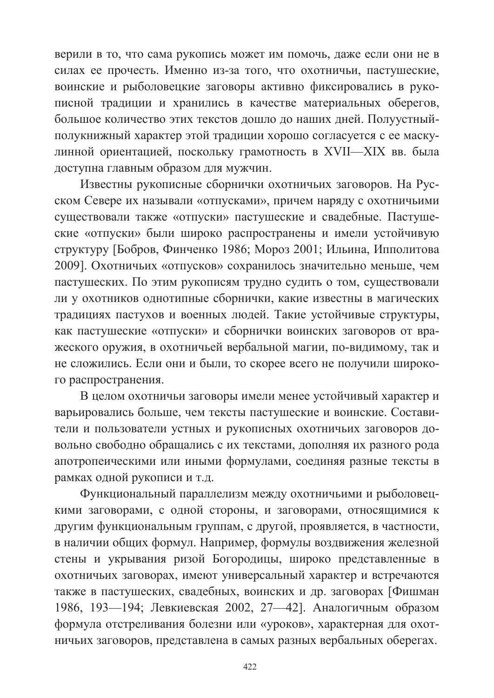верили в то, что сама рукопись может им помочь, даже если они не в силах ее прочесть. Именно из-за того, что охотничьи, пастушеские, воинские и рыболовецкие заговоры активно фиксировались в рукописной традиции и хранились в качестве материальных оберегов, большое количество этих текстов дошло до наших дней. Полуустныйполукнижный характер этой традиции хорошо согласуется с ее маскулинной ориентацией, поскольку грамотность в XVII—XIX вв. была доступна главным образом для мужчин.

Известны рукописные сборнички охотничьих заговоров. На Русском Севере их называли «отпусками», причем наряду с охотничьими существовали также «отпуски» пастушеские и свадебные. Пастушеские «отпуски» были широко распространены и имели устойчивую структуру [Бобров, Финченко 1986; Мороз 2001; Ильина, Ипполитова 2009]. Охотничьих «отпусков» сохранилось значительно меньше, чем пастушеских. По этим рукописям трудно судить о том, существовали ли у охотников однотипные сборнички, какие известны в магических традициях пастухов и военных людей. Такие устойчивые структуры, как пастушеские «отпуски» и сборнички воинских заговоров от вражеского оружия, в охотничьей вербальной магии, по-видимому, так и не сложились. Если они и были, то скорее всего не получили широкого распространения.

В целом охотничьи заговоры имели менее устойчивый характер и варьировались больше, чем тексты пастушеские и воинские. Составители и пользователи устных и рукописных охотничьих заговоров довольно свободно обращались с их текстами, дополняя их разного рода апотропеическими или иными формулами, соединяя разные тексты в рамках одной рукописи и т.д.

Функциональный параллелизм между охотничьими и рыболовецкими заговорами, с одной стороны, и заговорами, относящимися к другим функциональным группам, с другой, проявляется, в частности, в наличии общих формул. Например, формулы воздвижения железной стены и укрывания ризой Богородицы, широко представленные в охотничьих заговорах, имеют универсальный характер и встречаются также в пастушеских, свадебных, воинских и др. заговорах [Фишман] 1986, 193-194; Левкиевская 2002, 27-42]. Аналогичным образом формула отстреливания болезни или «уроков», характерная для охотничьих заговоров, представлена в самых разных вербальных оберегах.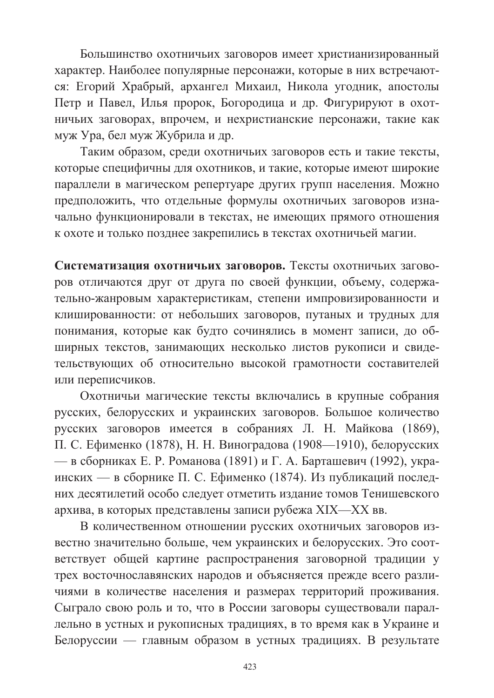Большинство охотничьих заговоров имеет христианизированный характер. Наиболее популярные персонажи, которые в них встречаются: Егорий Храбрый, архангел Михаил, Никола угодник, апостолы Петр и Павел, Илья пророк, Богородица и др. Фигурируют в охотничьих заговорах, впрочем, и нехристианские персонажи, такие как муж Ура, бел муж Жубрила и др.

Таким образом, среди охотничьих заговоров есть и такие тексты, которые специфичны для охотников, и такие, которые имеют широкие параллели в магическом репертуаре других групп населения. Можно предположить, что отдельные формулы охотничьих заговоров изначально функционировали в текстах, не имеющих прямого отношения к охоте и только позднее закрепились в текстах охотничьей магии.

Систематизация охотничьих заговоров. Тексты охотничьих заговоров отличаются друг от друга по своей функции, объему, содержательно-жанровым характеристикам, степени импровизированности и клишированности: от небольших заговоров, путаных и трудных для понимания, которые как будто сочинялись в момент записи, до обширных текстов, занимающих несколько листов рукописи и свидетельствующих об относительно высокой грамотности составителей или переписчиков.

Охотничьи магические тексты включались в крупные собрания русских, белорусских и украинских заговоров. Большое количество русских заговоров имеется в собраниях Л. Н. Майкова (1869). П. С. Ефименко (1878), Н. Н. Виноградова (1908—1910), белорусских — в сборниках Е. Р. Романова (1891) и Г. А. Барташевич (1992), украинских — в сборнике П. С. Ефименко (1874). Из публикаций последних десятилетий особо следует отметить издание томов Тенишевского архива, в которых представлены записи рубежа XIX-XX вв.

В количественном отношении русских охотничьих заговоров известно значительно больше, чем украинских и белорусских. Это соответствует общей картине распространения заговорной традиции у трех восточнославянских народов и объясняется прежде всего различиями в количестве населения и размерах территорий проживания. Сыграло свою роль и то, что в России заговоры существовали параллельно в устных и рукописных традициях, в то время как в Украине и Белоруссии — главным образом в устных традициях. В результате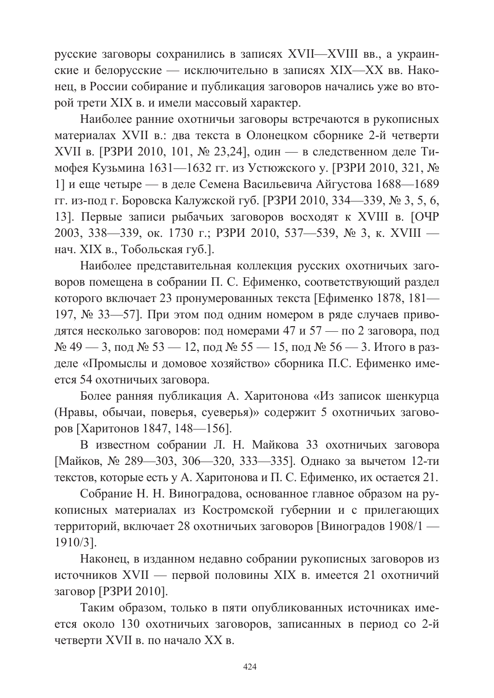русские заговоры сохранились в записях XVII-XVIII вв., а украинские и белорусские — исключительно в записях XIX—XX вв. Наконец, в России собирание и публикация заговоров начались уже во второй трети XIX в. и имели массовый характер.

Наиболее ранние охотничьи заговоры встречаются в рукописных материалах XVII в.: два текста в Олонецком сборнике 2-й четверти XVII в. [РЗРИ 2010, 101, № 23,24], один — в следственном деле Тимофея Кузьмина 1631—1632 гг. из Устюжского у. [РЗРИ 2010, 321, № 1] и еще четыре — в деле Семена Васильевича Айгустова 1688—1689 гг. из-под г. Боровска Калужской губ. [РЗРИ 2010, 334—339, № 3, 5, 6, 13]. Первые записи рыбачьих заговоров восходят к XVIII в. [ОЧР 2003, 338—339, ок. 1730 г.; РЗРИ 2010, 537—539, № 3, к. XVIII нач. XIX в., Тобольская губ.].

Наиболее представительная коллекция русских охотничьих заговоров помещена в собрании П. С. Ефименко, соответствующий раздел которого включает 23 пронумерованных текста [Ефименко 1878, 181— 197. № 33-57]. При этом под одним номером в ряде случаев приводятся несколько заговоров: под номерами 47 и 57 — по 2 заговора, под  $\mathcal{N}_2$  49 — 3, под  $\mathcal{N}_2$  53 — 12, под  $\mathcal{N}_2$  55 — 15, под  $\mathcal{N}_2$  56 — 3. Итого в разделе «Промыслы и домовое хозяйство» сборника П.С. Ефименко имеется 54 охотничьих заговора.

Более ранняя публикация А. Харитонова «Из записок шенкурца (Нравы, обычаи, поверья, суеверья)» содержит 5 охотничьих заговоров [Харитонов 1847, 148-156].

В известном собрании Л. Н. Майкова 33 охотничьих заговора [Майков, № 289-303, 306-320, 333-335]. Однако за вычетом 12-ти текстов, которые есть у А. Харитонова и П. С. Ефименко, их остается 21.

Собрание Н. Н. Виноградова, основанное главное образом на рукописных материалах из Костромской губернии и с прилегающих территорий, включает 28 охотничьих заговоров [Виноградов 1908/1 —  $1910/3$ ].

Наконец, в изданном недавно собрании рукописных заговоров из источников XVII — первой половины XIX в. имеется 21 охотничий заговор [РЗРИ 2010].

Таким образом, только в пяти опубликованных источниках имеется около 130 охотничьих заговоров, записанных в период со 2-й четверти XVII в. по начало XX в.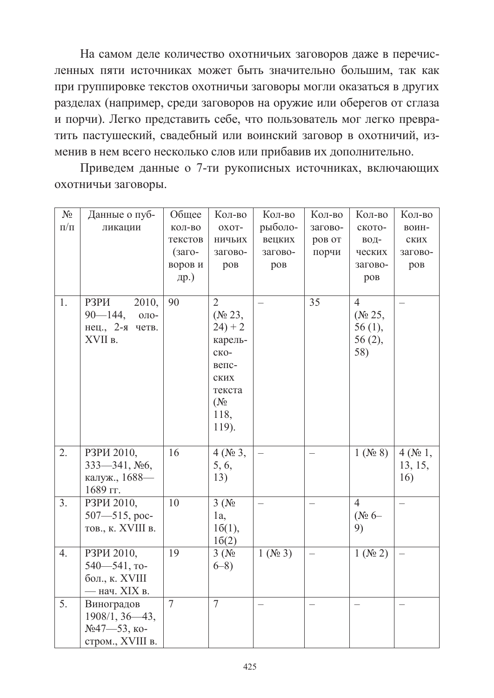На самом деле количество охотничьих заговоров даже в перечисленных пяти источниках может быть значительно большим, так как при группировке текстов охотничьи заговоры могли оказаться в других разделах (например, среди заговоров на оружие или оберегов от сглаза и порчи). Легко представить себе, что пользователь мог легко превратить пастушеский, свадебный или воинский заговор в охотничий, изменив в нем всего несколько слов или прибавив их дополнительно.

Приведем данные о 7-ти рукописных источниках, включающих охотничьи заговоры.

| $N_2$     | Данные о пуб-        | Общее          | Кол-во                           | Кол-во      | Кол-во                   | Кол-во              | Кол-во                   |
|-----------|----------------------|----------------|----------------------------------|-------------|--------------------------|---------------------|--------------------------|
| $\Pi/\Pi$ | ликации              | КОЛ-ВО         | OXOT-                            | рыболо-     | загово-                  | ското-              | воин-                    |
|           |                      | текстов        | ничьих                           | вецких      | ров от                   | вод-                | ских                     |
|           |                      | (заго-         | загово-                          | загово-     | порчи                    | ческих              | загово-                  |
|           |                      | воров и        | ров                              | ров         |                          | загово-             | ров                      |
|           |                      | др.)           |                                  |             |                          | ров                 |                          |
| 1.        | 2010,<br>РЗРИ        | 90             | $\overline{c}$                   |             | 35                       | $\overline{4}$      |                          |
|           | $90 - 144$ ,<br>ОЛО- |                | ( $\mathcal{N}$ <sup>0</sup> 23, |             |                          | (N <sub>0</sub> 25, |                          |
|           | нец., 2-я четв.      |                | $24) + 2$                        |             |                          | $56(1)$ ,           |                          |
|           | XVII в.              |                | карель-                          |             |                          | 56 (2),             |                          |
|           |                      |                | ско-                             |             |                          | 58)                 |                          |
|           |                      |                | вепс-                            |             |                          |                     |                          |
|           |                      |                | ских                             |             |                          |                     |                          |
|           |                      |                | текста                           |             |                          |                     |                          |
|           |                      |                | $(N_2)$                          |             |                          |                     |                          |
|           |                      |                | 118,                             |             |                          |                     |                          |
|           |                      |                | 119).                            |             |                          |                     |                          |
| 2.        | РЗРИ 2010.           | 16             | $4 (N_2 3,$                      |             | $\overline{\phantom{0}}$ | $1 (N_2 8)$         | $4(N_2 1,$               |
|           | 333—341, №6,         |                | 5, 6,                            |             |                          |                     | 13, 15,                  |
|           | калуж., 1688-        |                | 13)                              |             |                          |                     | 16)                      |
|           | 1689 гг.             |                |                                  |             |                          |                     |                          |
| 3.        | РЗРИ 2010,           | 10             | 3(N <sub>2</sub> )               |             |                          | $\overline{4}$      | $\overline{\phantom{0}}$ |
|           | $507 - 515$ , poc-   |                | $1a$ ,                           |             |                          | $(N_2 6 -$          |                          |
|           | тов., к. XVIII в.    |                | 16(1),                           |             |                          | 9)                  |                          |
|           |                      |                | 16(2)                            |             |                          |                     |                          |
| 4.        | РЗРИ 2010,           | 19             | 3(N <sub>2</sub> )               | $1 (N_2 3)$ | $\overline{\phantom{0}}$ | $1 (N_2 2)$         | $\overline{\phantom{0}}$ |
|           | 540-541, то-         |                | $6 - 8$                          |             |                          |                     |                          |
|           | бол., к. XVIII       |                |                                  |             |                          |                     |                          |
|           | — нач. XIX в.        |                |                                  |             |                          |                     |                          |
| 5.        | Виноградов           | $\overline{7}$ | $\overline{7}$                   |             |                          |                     |                          |
|           | $1908/1, 36 - 43,$   |                |                                  |             |                          |                     |                          |
|           | №47—53, ко-          |                |                                  |             |                          |                     |                          |
|           | стром., XVIII в.     |                |                                  |             |                          |                     |                          |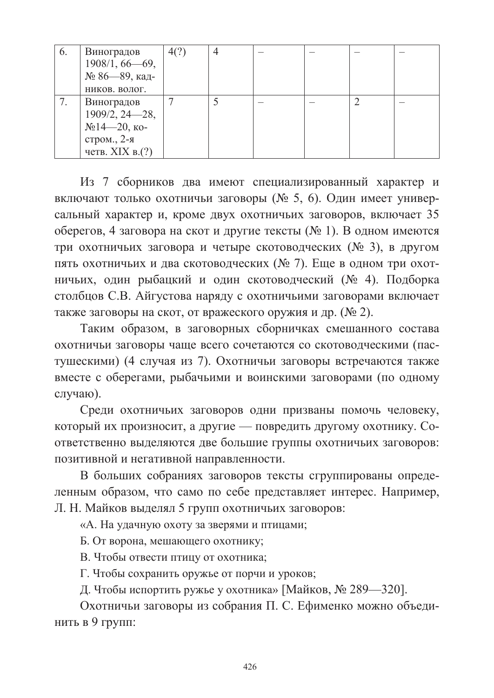| 6. | Виноградов         | 4(?) |  |  |  |
|----|--------------------|------|--|--|--|
|    | $1908/1, 66 - 69,$ |      |  |  |  |
|    | № 86—89, кад-      |      |  |  |  |
|    | НИКОВ. ВОЛОГ.      |      |  |  |  |
|    | Виноградов         |      |  |  |  |
|    | $1909/2, 24 - 28,$ |      |  |  |  |
|    | $N214—20,$ ко-     |      |  |  |  |
|    | стром., 2-я        |      |  |  |  |
|    | четв. XIX в. $(?)$ |      |  |  |  |

Из 7 сборников два имеют специализированный характер и включают только охотничьи заговоры (№ 5, 6). Один имеет универсальный характер и, кроме двух охотничьих заговоров, включает 35 оберегов, 4 заговора на скот и другие тексты (№ 1). В одном имеются три охотничьих заговора и четыре скотоводческих (№ 3), в другом пять охотничьих и два скотоводческих (№ 7). Еще в одном три охотничьих, один рыбацкий и один скотоводческий (№ 4). Подборка столбцов С.В. Айгустова наряду с охотничьими заговорами включает также заговоры на скот, от вражеского оружия и др. (№ 2).

Таким образом, в заговорных сборничках смешанного состава охотничьи заговоры чаще всего сочетаются со скотоводческими (пастушескими) (4 случая из 7). Охотничьи заговоры встречаются также вместе с оберегами, рыбачьими и воинскими заговорами (по одному случаю).

Среди охотничьих заговоров одни призваны помочь человеку, который их произносит, а другие — повредить другому охотнику. Соответственно выделяются две большие группы охотничьих заговоров: позитивной и негативной направленности.

В больших собраниях заговоров тексты сгруппированы определенным образом, что само по себе представляет интерес. Например, Л. Н. Майков выделял 5 групп охотничьих заговоров:

«А. На удачную охоту за зверями и птицами;

Б. От ворона, мешающего охотнику;

В. Чтобы отвести птицу от охотника;

Г. Чтобы сохранить оружье от порчи и уроков;

Д. Чтобы испортить ружье у охотника» [Майков, № 289-320].

Охотничьи заговоры из собрания П. С. Ефименко можно объединить в 9 групп: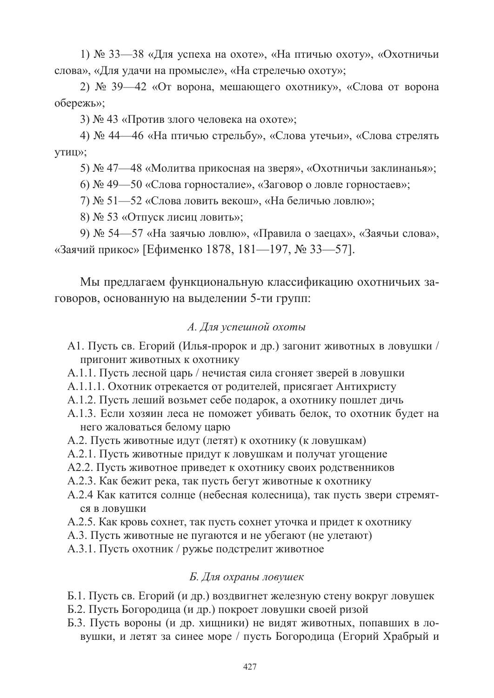1) № 33—38 «Для успеха на охоте», «На птичью охоту», «Охотничьи слова», «Для удачи на промысле», «На стрелечью охоту»;

2) № 39—42 «От ворона, мешающего охотнику», «Слова от ворона обережь»:

3) № 43 «Против злого человека на охоте»;

4) № 44—46 «На птичью стрельбу», «Слова утечьи», «Слова стрелять утиц»;

5) № 47—48 «Молитва прикосная на зверя», «Охотничьи заклинанья»;

6) № 49—50 «Слова горносталие», «Заговор о ловле горностаев»;

7) № 51—52 «Слова ловить векош», «На беличью ловлю»;

8) № 53 «Отпуск лисиц ловить»;

9) № 54—57 «На заячью ловлю», «Правила о заецах», «Заячьи слова», «Заячий прикос» [Ефименко 1878, 181-197, № 33-57].

Мы предлагаем функциональную классификацию охотничьих заговоров, основанную на выделении 5-ти групп:

## А. Для успешной охоты

- А1. Пусть св. Егорий (Илья-пророк и др.) загонит животных в ловушки / пригонит животных к охотнику
- А.1.1. Пусть лесной царь / нечистая сила сгоняет зверей в ловушки
- А.1.1.1. Охотник отрекается от родителей, присягает Антихристу
- А.1.2. Пусть леший возьмет себе подарок, а охотнику пошлет дичь
- А.1.3. Если хозяин леса не поможет убивать белок, то охотник булет на него жаловаться белому царю
- А.2. Пусть животные идут (летят) к охотнику (к ловушкам)
- А.2.1. Пусть животные придут к ловушкам и получат угощение
- А2.2. Пусть животное приведет к охотнику своих родственников
- А.2.3. Как бежит река, так пусть бегут животные к охотнику
- А.2.4 Как катится солнце (небесная колесница), так пусть звери стремятся в ловушки
- А.2.5. Как кровь сохнет, так пусть сохнет уточка и придет к охотнику
- А.3. Пусть животные не пугаются и не убегают (не улетают)
- А.3.1. Пусть охотник / ружье подстрелит животное

## Б. Для охраны ловушек

- Б.1. Пусть св. Егорий (и др.) воздвигнет железную стену вокруг ловушек
- Б.2. Пусть Богородица (и др.) покроет ловушки своей ризой
- Б.3. Пусть вороны (и др. хищники) не видят животных, попавших в ловушки, и летят за синее море / пусть Богородица (Егорий Храбрый и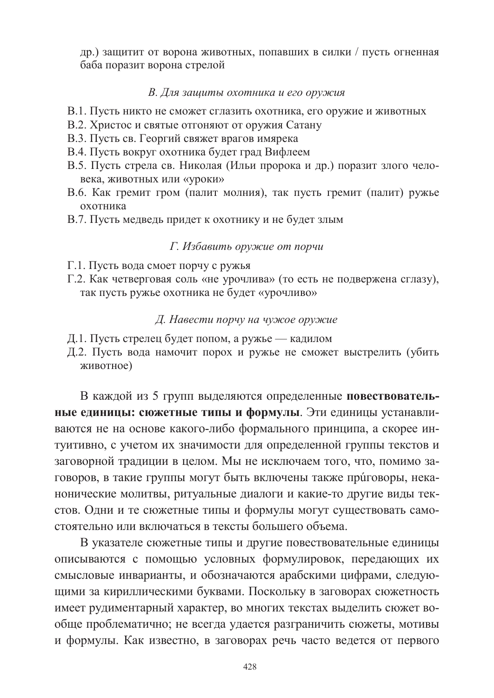др.) защитит от ворона животных, попавших в силки / пусть огненная баба поразит ворона стрелой

#### В. Для зашиты охотника и его оружия

- В.1. Пусть никто не сможет сглазить охотника, его оружие и животных
- В.2. Христос и святые отгоняют от оружия Сатану
- В.3. Пусть св. Георгий свяжет врагов имярека
- В.4. Пусть вокруг охотника будет град Вифлеем
- В.5. Пусть стрела св. Николая (Ильи пророка и др.) поразит злого человека, животных или «уроки»
- В.6. Как гремит гром (палит молния), так пусть гремит (палит) ружье охотника
- В.7. Пусть медведь придет к охотнику и не будет злым

## Г. Избавить оружие от порчи

- Г.1. Пусть вода смоет порчу с ружья
- Г.2. Как четверговая соль «не урочлива» (то есть не подвержена сглазу), так пусть ружье охотника не будет «урочливо»

## Д. Навести порчу на чужое оружие

- Д.1. Пусть стрелец будет попом, а ружье кадилом
- Д.2. Пусть вода намочит порох и ружье не сможет выстрелить (убить животное)

В каждой из 5 групп выделяются определенные повествовательные единицы: сюжетные типы и формулы. Эти единицы устанавливаются не на основе какого-либо формального принципа, а скорее интуитивно, с учетом их значимости для определенной группы текстов и заговорной традиции в целом. Мы не исключаем того, что, помимо заговоров, в такие группы могут быть включены также приговоры, неканонические молитвы, ритуальные диалоги и какие-то другие виды текстов. Одни и те сюжетные типы и формулы могут существовать самостоятельно или включаться в тексты большего объема.

В указателе сюжетные типы и другие повествовательные единицы описываются с помощью условных формулировок, передающих их смысловые инварианты, и обозначаются арабскими цифрами, следующими за кириллическими буквами. Поскольку в заговорах сюжетность имеет рудиментарный характер, во многих текстах выделить сюжет вообще проблематично; не всегда удается разграничить сюжеты, мотивы и формулы. Как известно, в заговорах речь часто ведется от первого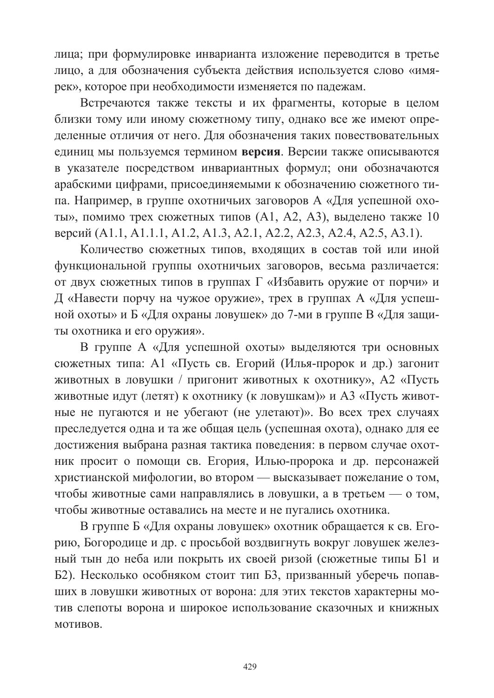лица; при формулировке инварианта изложение переводится в третье лицо, а для обозначения субъекта действия используется слово «имярек», которое при необходимости изменяется по падежам.

Встречаются также тексты и их фрагменты, которые в целом близки тому или иному сюжетному типу, однако все же имеют определенные отличия от него. Для обозначения таких повествовательных единиц мы пользуемся термином версия. Версии также описываются в указателе посредством инвариантных формул; они обозначаются арабскими цифрами, присоединяемыми к обозначению сюжетного типа. Например, в группе охотничьих заговоров А «Для успешной охоты», помимо трех сюжетных типов (A1, A2, A3), выделено также 10 версий (A1.1, A1.1.1, A1.2, A1.3, A2.1, A2.2, A2.3, A2.4, A2.5, A3.1).

Количество сюжетных типов, входящих в состав той или иной функциональной группы охотничьих заговоров, весьма различается: от двух сюжетных типов в группах Г «Избавить оружие от порчи» и Д «Навести порчу на чужое оружие», трех в группах А «Для успешной охоты» и Б «Для охраны ловушек» до 7-ми в группе В «Для защиты охотника и его оружия».

В группе А «Для успешной охоты» выделяются три основных сюжетных типа: А1 «Пусть св. Егорий (Илья-пророк и др.) загонит животных в ловушки / пригонит животных к охотнику», А2 «Пусть животные идут (летят) к охотнику (к ловушкам)» и АЗ «Пусть животные не пугаются и не убегают (не улетают)». Во всех трех случаях преследуется одна и та же общая цель (успешная охота), однако для ее достижения выбрана разная тактика поведения: в первом случае охотник просит о помощи св. Егория, Илью-пророка и др. персонажей христианской мифологии, во втором — высказывает пожелание о том, чтобы животные сами направлялись в ловушки, а в третьем — о том, чтобы животные оставались на месте и не пугались охотника.

В группе Б «Для охраны ловушек» охотник обращается к св. Егорию, Богородице и др. с просьбой воздвигнуть вокруг ловушек железный тын до неба или покрыть их своей ризой (сюжетные типы Б1 и Б2). Несколько особняком стоит тип Б3, призванный уберечь попавших в ловушки животных от ворона: для этих текстов характерны мотив слепоты ворона и широкое использование сказочных и книжных **MOTHROR** 

429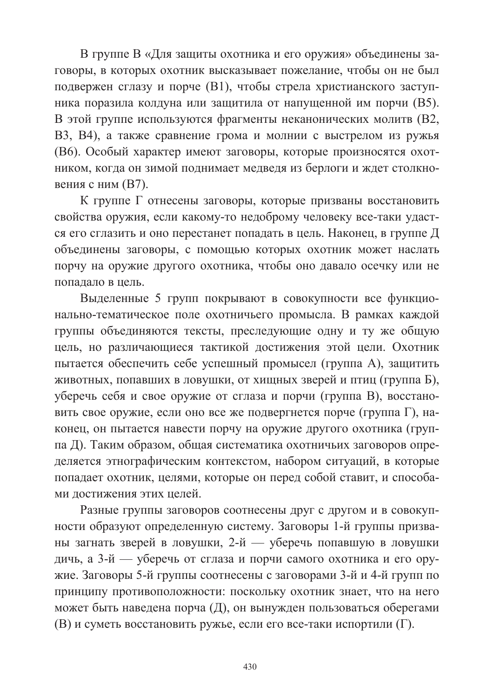В группе В «Для защиты охотника и его оружия» объединены заговоры, в которых охотник высказывает пожелание, чтобы он не был подвержен сглазу и порче (B1), чтобы стрела христианского заступника поразила колдуна или защитила от напущенной им порчи (В5). В этой группе используются фрагменты неканонических молитв (В2, ВЗ, В4), а также сравнение грома и молнии с выстрелом из ружья (В6). Особый характер имеют заговоры, которые произносятся охотником, когда он зимой поднимает медведя из берлоги и ждет столкновения с ним (В7).

К группе Г отнесены заговоры, которые призваны восстановить свойства оружия, если какому-то недоброму человеку все-таки удастся его сглазить и оно перестанет попадать в цель. Наконец, в группе Д объединены заговоры, с помощью которых охотник может наслать порчу на оружие другого охотника, чтобы оно давало осечку или не попадало в цель.

Выделенные 5 групп покрывают в совокупности все функционально-тематическое поле охотничьего промысла. В рамках каждой группы объединяются тексты, преследующие одну и ту же общую цель, но различающиеся тактикой достижения этой цели. Охотник пытается обеспечить себе успешный промысел (группа А), защитить животных, попавших в ловушки, от хищных зверей и птиц (группа Б), уберечь себя и свое оружие от сглаза и порчи (группа В), восстановить свое оружие, если оно все же подвергнется порче (группа Г), наконец, он пытается навести порчу на оружие другого охотника (группа Д). Таким образом, общая систематика охотничьих заговоров определяется этнографическим контекстом, набором ситуаций, в которые попадает охотник, целями, которые он перед собой ставит, и способами достижения этих целей.

Разные группы заговоров соотнесены друг с другом и в совокупности образуют определенную систему. Заговоры 1-й группы призваны загнать зверей в ловушки, 2-й — уберечь попавшую в ловушки дичь, а 3-й — уберечь от сглаза и порчи самого охотника и его оружие. Заговоры 5-й группы соотнесены с заговорами 3-й и 4-й групп по принципу противоположности: поскольку охотник знает, что на него может быть наведена порча (Д), он вынужден пользоваться оберегами (В) и суметь восстановить ружье, если его все-таки испортили (Г).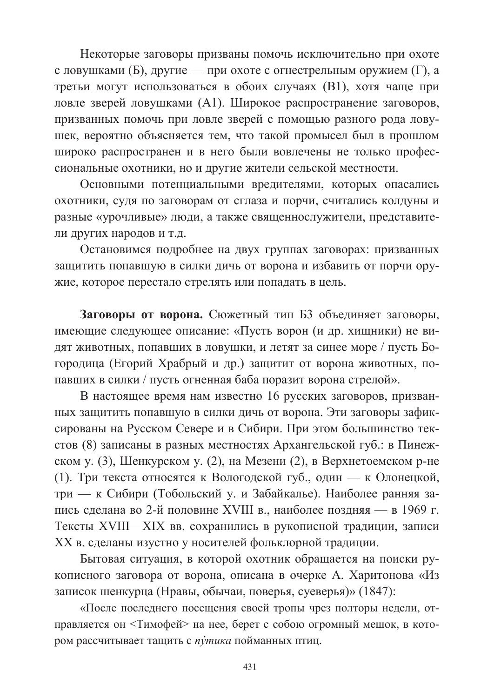Некоторые заговоры призваны помочь исключительно при охоте с ловушками (Б), другие — при охоте с огнестрельным оружием (Г), а третьи могут использоваться в обоих случаях (B1), хотя чаще при ловле зверей ловушками (A1). Широкое распространение заговоров, призванных помочь при ловле зверей с помощью разного рода ловушек, вероятно объясняется тем, что такой промысел был в прошлом широко распространен и в него были вовлечены не только профессиональные охотники, но и другие жители сельской местности.

Основными потенциальными вредителями, которых опасались охотники, судя по заговорам от сглаза и порчи, считались колдуны и разные «урочливые» люди, а также священнослужители, представители других народов и т.д.

Остановимся подробнее на двух группах заговорах: призванных защитить попавшую в силки дичь от ворона и избавить от порчи оружие, которое перестало стрелять или попадать в цель.

Заговоры от ворона. Сюжетный тип БЗ объединяет заговоры, имеющие следующее описание: «Пусть ворон (и др. хищники) не видят животных, попавших в ловушки, и летят за синее море / пусть Богородица (Егорий Храбрый и др.) защитит от ворона животных, попавших в силки / пусть огненная баба поразит ворона стрелой».

В настоящее время нам известно 16 русских заговоров, призванных защитить попавшую в силки дичь от ворона. Эти заговоры зафиксированы на Русском Севере и в Сибири. При этом большинство текстов (8) записаны в разных местностях Архангельской губ.: в Пинежском у. (3), Шенкурском у. (2), на Мезени (2), в Верхнетоемском р-не (1). Три текста относятся к Вологодской губ., один — к Олонецкой, три — к Сибири (Тобольский у. и Забайкалье). Наиболее ранняя запись сделана во 2-й половине XVIII в., наиболее поздняя — в 1969 г. Тексты XVIII—XIX вв. сохранились в рукописной традиции, записи ХХ в. сделаны изустно у носителей фольклорной традиции.

Бытовая ситуация, в которой охотник обращается на поиски рукописного заговора от ворона, описана в очерке А. Харитонова «Из записок шенкурца (Нравы, обычаи, поверья, суеверья)» (1847):

«После последнего посещения своей тропы чрез полторы недели, отправляется он <Тимофей> на нее, берет с собою огромный мешок, в котором рассчитывает тащить с путика пойманных птиц.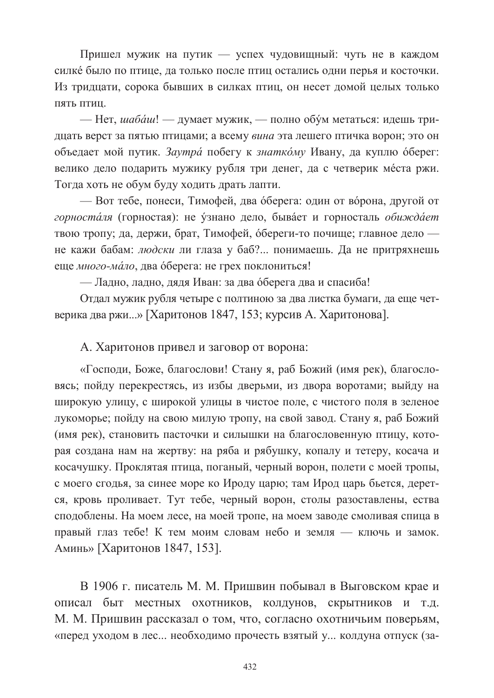Пришел мужик на путик - успех чудовищный: чуть не в каждом силке было по птице, да только после птиц остались одни перья и косточки. Из тридцати, сорока бывших в силках птиц, он несет домой целых только пять птин

- Нет, шабаш! - думает мужик, - полно обум метаться: идешь тридцать верст за пятью птицами; а всему вина эта лешего птичка ворон; это он объедает мой путик. Заутра побегу к знаткому Ивану, да куплю оберег: велико дело подарить мужику рубля три денег, да с четверик места ржи. Тогда хоть не обум буду ходить драть лапти.

— Вот тебе, понеси, Тимофей, два оберега: один от ворона, другой от горносталя (горностая): не узнано дело, бывает и горносталь обиждает твою тропу; да, держи, брат, Тимофей, обереги-то почище; главное дело не кажи бабам: людски ли глаза у баб?... понимаешь. Да не притряхнешь еще много-мало, два оберега: не грех поклониться!

— Ладно, ладно, дядя Иван: за два оберега два и спасиба!

Отдал мужик рубля четыре с полтиною за два листка бумаги, да еще четверика два ржи...» [Харитонов 1847, 153; курсив А. Харитонова].

А. Харитонов привел и заговор от ворона:

«Господи, Боже, благослови! Стану я, раб Божий (имя рек), благословясь; пойду перекрестясь, из избы дверьми, из двора воротами; выйду на широкую улицу, с широкой улицы в чистое поле, с чистого поля в зеленое лукоморье; пойду на свою милую тропу, на свой завод. Стану я, раб Божий (имя рек), становить пасточки и силышки на благословенную птицу, которая создана нам на жертву: на ряба и рябушку, копалу и тетеру, косача и косачушку. Проклятая птица, поганый, черный ворон, полети с моей тропы, с моего сгодья, за синее море ко Ироду царю; там Ирод царь бьется, дерется, кровь проливает. Тут тебе, черный ворон, столы разоставлены, ества сподоблены. На моем лесе, на моей тропе, на моем заводе смоливая спица в правый глаз тебе! К тем моим словам небо и земля — ключь и замок. Аминь» [Харитонов 1847, 153].

В 1906 г. писатель М. М. Пришвин побывал в Выговском крае и описал быт местных охотников, колдунов, скрытников и т.д. М. М. Пришвин рассказал о том, что, согласно охотничьим поверьям, «перед уходом в лес... необходимо прочесть взятый у... колдуна отпуск (за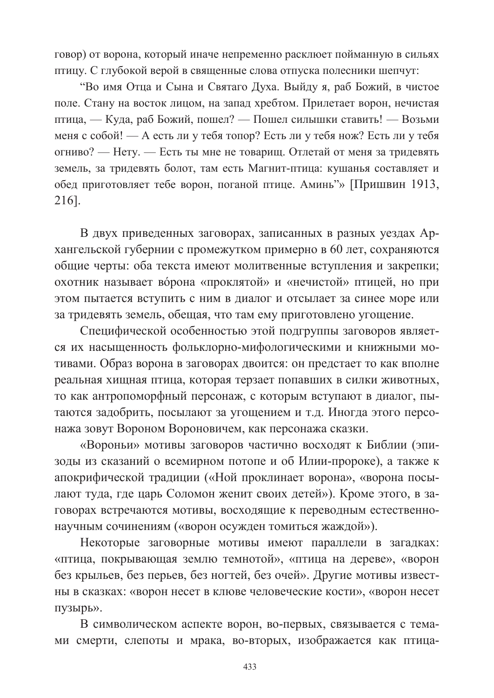говор) от ворона, который иначе непременно расклюет пойманную в сильях птицу. С глубокой верой в священные слова отпуска полесники шепчут:

"Во имя Отца и Сына и Святаго Духа. Выйду я, раб Божий, в чистое поле. Стану на восток лицом, на запад хребтом. Прилетает ворон, нечистая птица, — Куда, раб Божий, пошел? — Пошел силышки ставить! — Возьми меня с собой! — А есть ли у тебя топор? Есть ли у тебя нож? Есть ли у тебя огниво? — Нету. — Есть ты мне не товарищ. Отлетай от меня за тридевять земель, за тридевять болот, там есть Магнит-птица: кушанья составляет и обед приготовляет тебе ворон, поганой птице. Аминь"» [Пришвин 1913, 216].

В двух приведенных заговорах, записанных в разных уездах Архангельской губернии с промежутком примерно в 60 лет, сохраняются общие черты: оба текста имеют молитвенные вступления и закрепки; охотник называет ворона «проклятой» и «нечистой» птицей, но при этом пытается вступить с ним в диалог и отсылает за синее море или за тридевять земель, обещая, что там ему приготовлено угощение.

Специфической особенностью этой подгруппы заговоров является их насыщенность фольклорно-мифологическими и книжными мотивами. Образ ворона в заговорах двоится: он предстает то как вполне реальная хищная птица, которая терзает попавших в силки животных, то как антропоморфный персонаж, с которым вступают в диалог, пытаются задобрить, посылают за угощением и т.д. Иногда этого персонажа зовут Вороном Вороновичем, как персонажа сказки.

«Вороньи» мотивы заговоров частично восходят к Библии (эпизоды из сказаний о всемирном потопе и об Илии-пророке), а также к апокрифической традиции («Ной проклинает ворона», «ворона посылают туда, где царь Соломон женит своих детей»). Кроме этого, в заговорах встречаются мотивы, восходящие к переводным естественнонаучным сочинениям («ворон осужден томиться жаждой»).

Некоторые заговорные мотивы имеют параллели в загадках: «птица, покрывающая землю темнотой», «птица на дереве», «ворон без крыльев, без перьев, без ногтей, без очей». Другие мотивы известны в сказках: «ворон несет в клюве человеческие кости», «ворон несет пузырь».

В символическом аспекте ворон, во-первых, связывается с темами смерти, слепоты и мрака, во-вторых, изображается как птица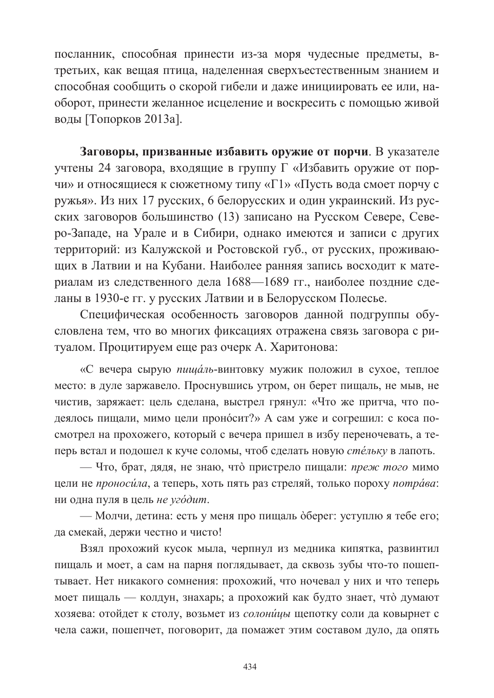посланник, способная принести из-за моря чудесные предметы, втретьих, как вещая птица, наделенная сверхъестественным знанием и способная сообщить о скорой гибели и даже инициировать ее или, наоборот, принести желанное исцеление и воскресить с помошью живой воды [Топорков 2013а].

Заговоры, призванные избавить оружие от порчи. В указателе учтены 24 заговора, входящие в группу Г «Избавить оружие от порчи» и относящиеся к сюжетному типу «Г1» «Пусть вода смоет порчу с ружья». Из них 17 русских, 6 белорусских и один украинский. Из русских заговоров большинство (13) записано на Русском Севере, Северо-Западе, на Урале и в Сибири, однако имеются и записи с других территорий: из Калужской и Ростовской губ., от русских, проживающих в Латвии и на Кубани. Наиболее ранняя запись восходит к материалам из следственного дела 1688-1689 гг., наиболее поздние сделаны в 1930-е гг. у русских Латвии и в Белорусском Полесье.

Специфическая особенность заговоров данной подгруппы обусловлена тем, что во многих фиксациях отражена связь заговора с ритуалом. Процитируем еще раз очерк А. Харитонова:

«С вечера сырую пищаль-винтовку мужик положил в сухое, теплое место: в дуле заржавело. Проснувшись утром, он берет пищаль, не мыв, не чистив, заряжает: цель сделана, выстрел грянул: «Что же притча, что подеялось пищали, мимо цели проносит?» А сам уже и согрешил: с коса посмотрел на прохожего, который с вечера пришел в избу переночевать, а теперь встал и подошел к куче соломы, чтоб сделать новую стельку в лапоть.

- Что, брат, дядя, не знаю, что пристрело пищали: преж того мимо цели не проносила, а теперь, хоть пять раз стреляй, только пороху потрава: ни одна пуля в цель не угодит.

- Молчи, детина: есть у меня про пищаль оберег: уступлю я тебе его; да смекай, держи честно и чисто!

Взял прохожий кусок мыла, черпнул из медника кипятка, развинтил пищаль и моет, а сам на парня поглядывает, да сквозь зубы что-то пошептывает. Нет никакого сомнения: прохожий, что ночевал у них и что теперь моет пищаль — колдун, знахарь; а прохожий как будто знает, что думают хозяева: отойдет к столу, возьмет из солоницы щепотку соли да ковырнет с чела сажи, пошепчет, поговорит, да помажет этим составом дуло, да опять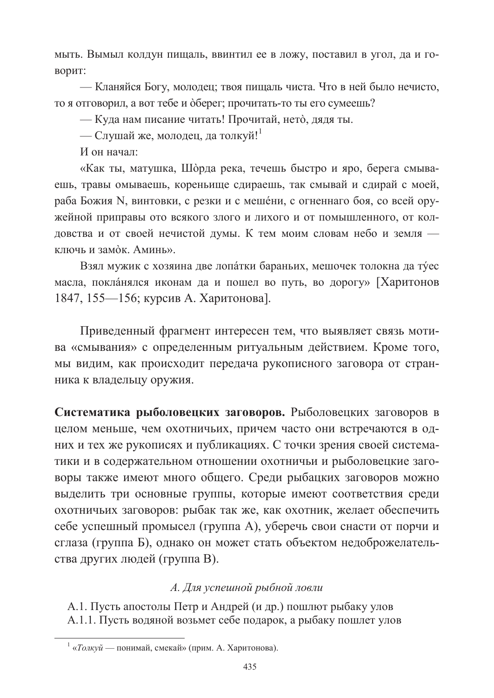мыть. Вымыл колдун пищаль, ввинтил ее в ложу, поставил в угол, да и говорит:

- Кланяйся Богу, молодец; твоя пищаль чиста. Что в ней было нечисто, то я отговорил, а вот тебе и оберег; прочитать-то ты его сумеешь?

— Куда нам писание читать! Прочитай, нето, дядя ты.

— Слушай же, молодец, да толкуй!

И он начал:

«Как ты, матушка, Шорда река, течешь быстро и яро, берега смываешь, травы омываешь, кореньище сдираешь, так смывай и сдирай с моей, раба Божия N, винтовки, с резки и с мещени, с огненнаго боя, со всей оружейной приправы ото всякого злого и лихого и от помышленного, от колдовства и от своей нечистой думы. К тем моим словам небо и земля ключь и замо̀к. Аминь».

Взял мужик с хозяина две лопатки бараньих, мешочек толокна да туес масла, покланялся иконам да и пошел во путь, во дорогу» [Харитонов 1847, 155-156; курсив А. Харитонова].

Приведенный фрагмент интересен тем, что выявляет связь мотива «смывания» с определенным ритуальным действием. Кроме того, мы видим, как происходит передача рукописного заговора от странника к владельцу оружия.

Систематика рыболовецких заговоров. Рыболовецких заговоров в целом меньше, чем охотничьих, причем часто они встречаются в одних и тех же рукописях и публикациях. С точки зрения своей систематики и в содержательном отношении охотничьи и рыболовецкие заговоры также имеют много общего. Среди рыбацких заговоров можно выделить три основные группы, которые имеют соответствия среди охотничьих заговоров: рыбак так же, как охотник, желает обеспечить себе успешный промысел (группа А), уберечь свои снасти от порчи и сглаза (группа Б), однако он может стать объектом недоброжелательства других людей (группа В).

## А. Для успешной рыбной ловли

А.1. Пусть апостолы Петр и Андрей (и др.) пошлют рыбаку улов А.1.1. Пусть водяной возьмет себе подарок, а рыбаку пошлет улов

 $\frac{1}{4}$  «*Толкуй* — понимай, смекай» (прим. А. Харитонова).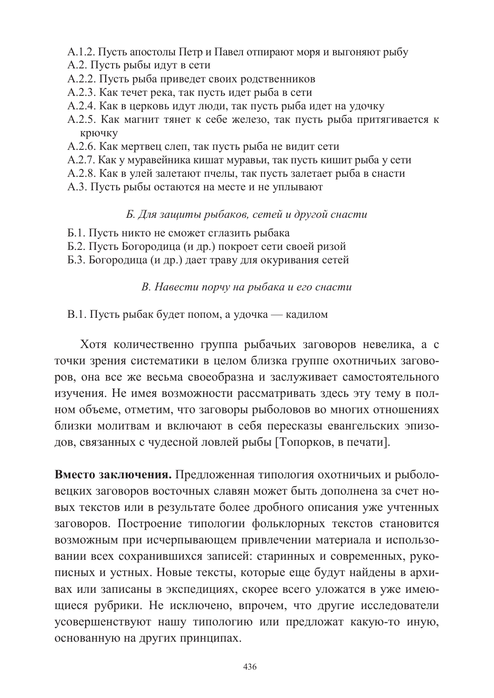- А.1.2. Пусть апостолы Петр и Павел отпирают моря и выгоняют рыбу
- А.2. Пусть рыбы идут в сети
- А.2.2. Пусть рыба приведет своих родственников
- А.2.3. Как течет река, так пусть идет рыба в сети
- А.2.4. Как в церковь идут люди, так пусть рыба идет на удочку
- А.2.5. Как магнит тянет к себе железо, так пусть рыба притягивается к крючку
- А.2.6. Как мертвец слеп, так пусть рыба не видит сети
- А.2.7. Как у муравейника кишат муравьи, так пусть кишит рыба у сети
- А.2.8. Как в улей залетают пчелы, так пусть залетает рыба в снасти
- А.3. Пусть рыбы остаются на месте и не уплывают

## Б. Для защиты рыбаков, сетей и другой снасти

- Б.1. Пусть никто не сможет сглазить рыбака
- Б.2. Пусть Богородица (и др.) покроет сети своей ризой
- Б.3. Богородица (и др.) дает траву для окуривания сетей

# В. Навести порчу на рыбака и его снасти

В.1. Пусть рыбак будет попом, а удочка — кадилом

Хотя количественно группа рыбачьих заговоров невелика, а с точки зрения систематики в целом близка группе охотничьих заговоров, она все же весьма своеобразна и заслуживает самостоятельного изучения. Не имея возможности рассматривать здесь эту тему в полном объеме, отметим, что заговоры рыболовов во многих отношениях близки молитвам и включают в себя пересказы евангельских эпизодов, связанных с чудесной ловлей рыбы [Топорков, в печати].

Вместо заключения. Предложенная типология охотничьих и рыболовецких заговоров восточных славян может быть дополнена за счет новых текстов или в результате более дробного описания уже учтенных заговоров. Построение типологии фольклорных текстов становится возможным при исчерпывающем привлечении материала и использовании всех сохранившихся записей: старинных и современных, рукописных и устных. Новые тексты, которые еще будут найдены в архивах или записаны в экспедициях, скорее всего уложатся в уже имеющиеся рубрики. Не исключено, впрочем, что другие исследователи усовершенствуют нашу типологию или предложат какую-то иную, основанную на других принципах.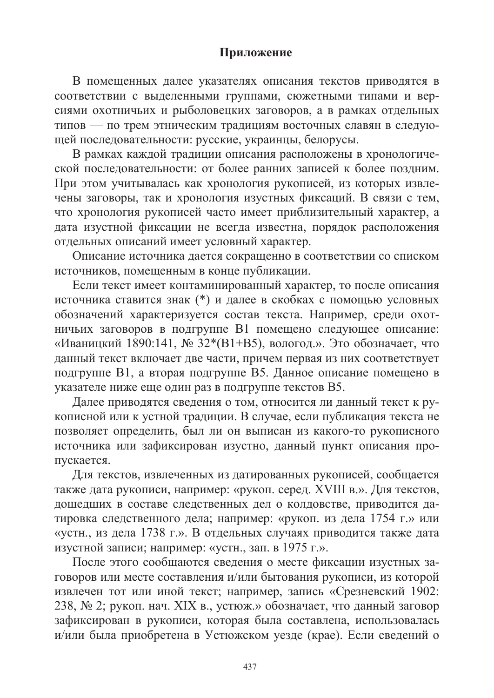# Приложение

В помещенных далее указателях описания текстов приводятся в соответствии с выделенными группами, сюжетными типами и версиями охотничьих и рыболовецких заговоров, а в рамках отдельных типов - по трем этническим традициям восточных славян в следующей последовательности: русские, украинцы, белорусы.

В рамках каждой традиции описания расположены в хронологической последовательности: от более ранних записей к более поздним. При этом учитывалась как хронология рукописей, из которых извлечены заговоры, так и хронология изустных фиксаций. В связи с тем, что хронология рукописей часто имеет приблизительный характер, а дата изустной фиксации не всегда известна, порядок расположения отдельных описаний имеет условный характер.

Описание источника дается сокращенно в соответствии со списком источников, помещенным в конце публикации.

Если текст имеет контаминированный характер, то после описания источника ставится знак (\*) и далее в скобках с помощью условных обозначений характеризуется состав текста. Например, среди охотничьих заговоров в подгруппе В1 помещено следующее описание: «Иваницкий 1890:141, № 32\*(В1+В5), вологод.». Это обозначает, что данный текст включает две части, причем первая из них соответствует подгруппе В1, а вторая подгруппе В5. Данное описание помещено в указателе ниже еще один раз в подгруппе текстов В5.

Далее приводятся сведения о том, относится ли данный текст к рукописной или к устной традиции. В случае, если публикация текста не позволяет определить, был ли он выписан из какого-то рукописного источника или зафиксирован изустно, данный пункт описания пропускается.

Для текстов, извлеченных из датированных рукописей, сообщается также дата рукописи, например: «рукоп. серед. XVIII в.». Для текстов, дошедших в составе следственных дел о колдовстве, приводится датировка следственного дела; например: «рукоп. из дела 1754 г.» или «устн., из дела 1738 г.». В отдельных случаях приводится также дата изустной записи; например: «устн., зап. в 1975 г.».

После этого сообщаются сведения о месте фиксации изустных заговоров или месте составления и/или бытования рукописи, из которой извлечен тот или иной текст; например, запись «Срезневский 1902: 238, № 2; рукоп. нач. XIX в., устюж.» обозначает, что данный заговор зафиксирован в рукописи, которая была составлена, использовалась и/или была приобретена в Устюжском уезде (крае). Если сведений о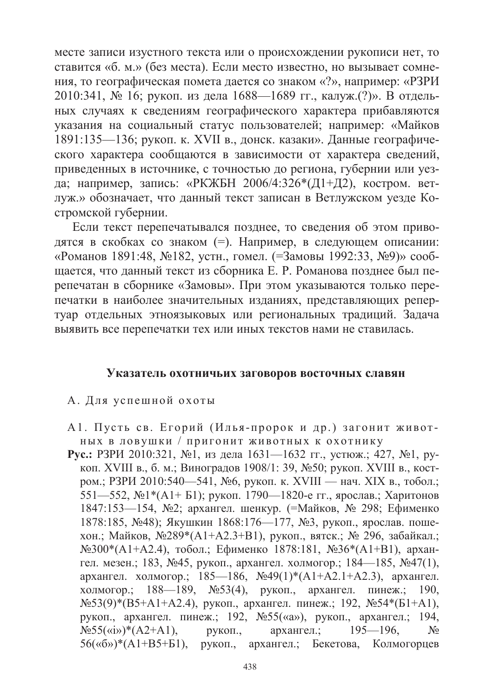месте записи изустного текста или о происхождении рукописи нет, то ставится «б. м.» (без места). Если место известно, но вызывает сомнения, то географическая помета дается со знаком «?», например: «РЗРИ 2010:341, № 16; рукоп. из дела 1688—1689 гг., калуж.(?)». В отдельных случаях к сведениям географического характера прибавляются указания на социальный статус пользователей; например: «Майков 1891:135-136; рукоп. к. XVII в., донск. казаки». Данные географического характера сообщаются в зависимости от характера сведений, приведенных в источнике, с точностью до региона, губернии или уезда; например, запись: «РКЖБН 2006/4:326\*(Д1+Д2), костром. ветлуж.» обозначает, что данный текст записан в Ветлужском уезде Костромской губернии.

Если текст перепечатывался позднее, то сведения об этом приводятся в скобках со знаком (=). Например, в следующем описании: «Романов 1891:48, №182, устн., гомел. (=Замовы 1992:33, №9)» сообщается, что данный текст из сборника Е. Р. Романова позднее был перепечатан в сборнике «Замовы». При этом указываются только перепечатки в наиболее значительных изданиях, представляющих репертуар отдельных этноязыковых или региональных традиций. Задача выявить все перепечатки тех или иных текстов нами не ставилась.

#### Указатель охотничьих заговоров восточных славян

- А. Для успешной охоты
- А1. Пусть св. Егорий (Илья-пророк и др.) загонит живот-НЫХ В ЛОВУШКИ / ПРИГОНИТ ЖИВОТНЫХ К ОХОТНИКУ
- Рус.: РЗРИ 2010:321, №1, из дела 1631—1632 гг., устюж.; 427, №1, рукоп. XVIII в., б. м.; Виноградов 1908/1: 39, №50; рукоп. XVIII в., костром.; РЗРИ 2010:540—541, №6, рукоп. к. XVIII — нач. XIX в., тобол.; 551—552, №1\*(А1+ Б1); рукоп. 1790—1820-е гг., ярослав.; Харитонов 1847:153—154, №2; архангел. шенкур. (=Майков, № 298; Ефименко 1878:185, №48); Якушкин 1868:176—177, №3, рукоп., ярослав. пошехон.; Майков, №289\*(А1+А2.3+В1), рукоп., вятск.; № 296, забайкал.; №300\*(А1+А2.4), тобол.; Ефименко 1878:181, №36\*(А1+В1), архангел. мезен.; 183, №45, рукоп., архангел. холмогор.; 184—185, №47(1), архангел. холмогор.; 185—186, №49(1)\*(А1+А2.1+А2.3), архангел. холмогор.; 188—189, №53(4), рукоп., архангел. пинеж.; 190,  $N_{2}53(9)$ \*(B5+A1+A2.4), рукоп., архангел. пинеж.; 192,  $N_{2}54*(51+A1)$ , рукоп., архангел. пинеж.; 192, №55(«а»), рукоп., архангел.; 194,  $N_{2}55(\kappa i)$  \*  $(A2+A1)$ ,  $195 - 196.$ рукоп., архангел.;  $N_2$ 56(«б»)\*(A1+B5+Б1), рукоп., архангел.; Бекетова, Колмогорцев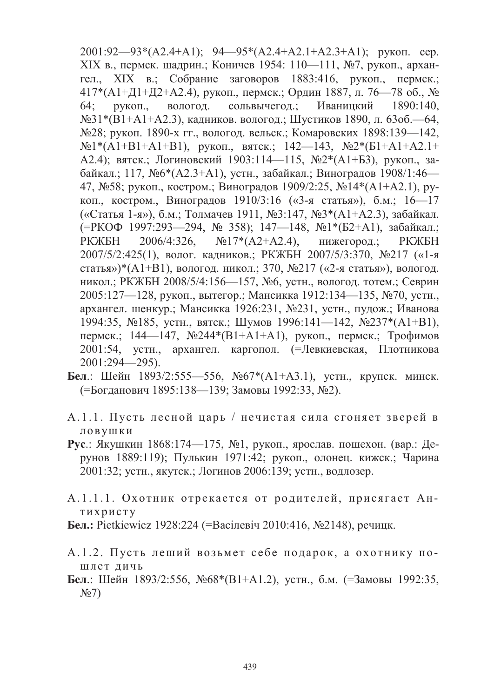2001:92-93\*(A2.4+A1); 94-95\*(A2.4+A2.1+A2.3+A1); рукоп. сер. ХІХ в., пермск. шадрин.; Коничев 1954: 110-111, №7, рукоп., архангел., XIX в.; Собрание заговоров 1883:416, рукоп., пермск.;  $417*(A1+\Pi1+\Pi2+A2.4)$ , рукоп., пермск.; Ордин 1887, л. 76—78 об., №  $64:$ рукоп., вологод. сольвычегод.; Иваницкий 1890:140. №31\*(В1+А1+А2.3), кадников. вологод.; Шустиков 1890, л. 63об. — 64, №28; рукоп. 1890-х гг., вологод. вельск.; Комаровских 1898:139—142,  $N<sub>2</sub>1*(A1+B1+A1+B1)$ , рукоп., вятск.; 142—143,  $N<sub>2</sub>(B1+A1+A2.1+$ А2.4); вятск.; Логиновский 1903:114—115, №2\*(А1+Б3), рукоп., забайкал.; 117, №6\*(А2.3+А1), устн., забайкал.; Виноградов 1908/1:46-47, №58; рукоп., костром.; Виноградов 1909/2:25, №14\*(А1+А2.1), рукоп., костром., Виноградов 1910/3:16 («3-я статья»), б.м.: 16—17 («Статья 1-я»), б.м.; Толмачев 1911, №3:147, №3\*(А1+А2.3), забайкал. (=РКОФ 1997:293-294, № 358); 147-148, №1\*(Б2+А1), забайкал.; 2006/4:326.  $N_217*(A2+A2.4)$ , РКЖБН нижегород.; РКЖБН 2007/5/2:425(1), волог. кадников.; РКЖБН 2007/5/3:370, №217 («1-я статья»)\*(A1+B1), вологод. никол.; 370, №217 («2-я статья»), вологод. никол.; РКЖБН 2008/5/4:156-157, №6, устн., вологод. тотем.; Севрин 2005:127—128, рукоп., вытегор.; Мансикка 1912:134—135, №70, устн., архангел. шенкур.; Мансикка 1926:231, №231, устн., пудож.; Иванова 1994:35, №185, устн., вятск.; Шумов 1996:141—142, №237\*(А1+В1), пермск.; 144—147, №244\*(В1+А1+А1), рукоп., пермск.; Трофимов 2001:54, устн., архангел. каргопол. (=Левкиевская, Плотникова  $2001:294 - 295$ ).

- Бел.: Шейн 1893/2:555-556, №67\*(А1+А3.1), устн., крупск. минск. (=Богданович 1895:138—139; Замовы 1992:33, №2).
- А.1.1. Пусть лесной царь / нечистая сила сгоняет зверей в ловушки
- Рус.: Якушкин 1868:174—175, №1, рукоп., ярослав. пошехон. (вар.: Дерунов 1889:119); Пулькин 1971:42; рукоп., олонец. кижск.; Чарина 2001:32; устн., якутск.; Логинов 2006:139; устн., водлозер.
- А.1.1.1. Охотник отрекается от родителей, присягает Антихристу
- Бел.: Pietkiewicz 1928:224 (=Васілевіч 2010:416, №2148), речицк.
- А.1.2. Пусть леший возьмет себе подарок, а охотнику пошлет дичь
- Бел.: Шейн 1893/2:556, №68\*(В1+А1.2), устн., б.м. (=Замовы 1992:35,  $N_2(7)$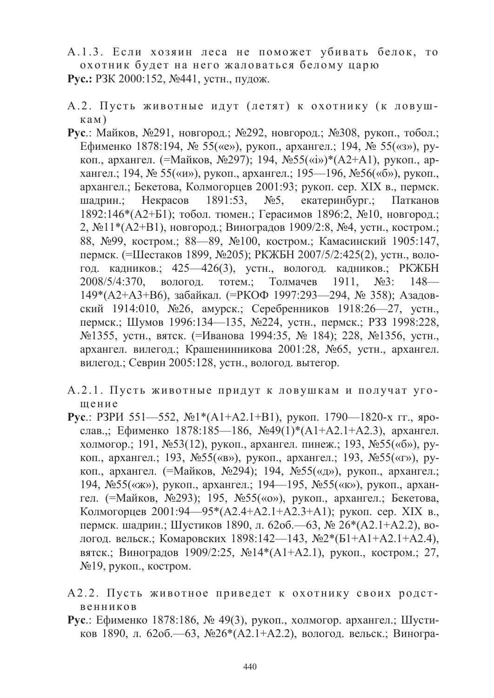- А.1.3. Если хозяин леса не поможет убивать белок, то охотник будет на него жаловаться белому царю Рус.: РЗК 2000:152, №441, устн., пудож.
- А.2. Пусть животные идут (летят) к охотнику (к ловушкам)
- Рус.: Майков, №291, новгород.; №292, новгород.; №308, рукоп., тобол.; Ефименко 1878:194, № 55(«е»), рукоп., архангел.; 194, № 55(«з»), рукоп., архангел. (=Майков, №297); 194, №55(«i»)\*(A2+A1), рукоп., архангел.; 194, № 55(«и»), рукоп., архангел.; 195—196, №56(«б»), рукоп., архангел.; Бекетова, Колмогорцев 2001:93; рукоп. сер. XIX в., пермск. шалрин.: Некрасов 1891:53.  $N<sub>25</sub>$ екатеринбург.; Патканов 1892:146\* (А2+Б1); тобол. тюмен.; Герасимов 1896:2, №10, новгород.; 2,  $\mathbb{N} \leq 11*(A2+B1)$ , новгород.; Виноградов 1909/2:8,  $\mathbb{N} \leq 4$ , устн., костром.; 88, №99, костром.; 88—89, №100, костром.; Камасинский 1905:147, пермск. (=Шестаков 1899, №205); РКЖБН 2007/5/2:425(2), устн., вологод. кадников.; 425—426(3), устн., вологод. кадников.; РКЖБН 1911, 2008/5/4:370. вологод. тотем.; Толмачев  $N<sub>23</sub>$ :  $148-$ 149\*(А2+А3+В6), забайкал. (=РКОФ 1997:293-294, № 358); Азадовский 1914:010, №26, амурск.; Серебренников 1918:26-27, устн., пермск.; Шумов 1996:134—135, №224, устн., пермск.; РЗЗ 1998:228, №1355, устн., вятск. (=Иванова 1994:35, № 184); 228, №1356, устн., архангел. вилегод.; Крашенинникова 2001:28, №65, устн., архангел. вилегод.; Севрин 2005:128, устн., вологод. вытегор.
- А.2.1. Пусть животные придут к ловушкам и получат угошение
- **Pyc.:** P3PH 551-552,  $\mathbb{N}^2$ <sup>\*</sup>(A1+A2,1+B1), pykon, 1790-1820-x  $\Gamma$ r, spoслав..; Ефименко 1878:185—186, №49(1)\*(А1+А2.1+А2.3), архангел. холмогор.; 191, №53(12), рукоп., архангел. пинеж.; 193, №55(«б»), рукоп., архангел.; 193, №55(«в»), рукоп., архангел.; 193, №55(«г»), рукоп., архангел. (=Майков, №294); 194, №55(«д»), рукоп., архангел.; 194, №55(«ж»), рукоп., архангел.; 194—195, №55(«к»), рукоп., архангел. (=Майков, №293); 195, №55(«о»), рукоп., архангел.; Бекетова, Колмогорцев 2001:94—95\*(А2.4+А2.1+А2.3+А1); рукоп. сер. XIX в., пермск. шадрин.; Шустиков 1890, л. 620б.—63, № 26\*(A2.1+A2.2), вологод. вельск.; Комаровских 1898:142—143, №2\*(Б1+А1+А2.1+А2.4), вятск.; Виноградов 1909/2:25, №14\*(A1+A2.1), рукоп., костром.; 27, №19, рукоп., костром.
- А2.2. Пусть животное приведет к охотнику своих родственников
- Рус.: Ефименко 1878:186, № 49(3), рукоп., холмогор. архангел.; Шустиков 1890, л. 62об.—63, №26\*(А2.1+А2.2), вологод. вельск.; Виногра-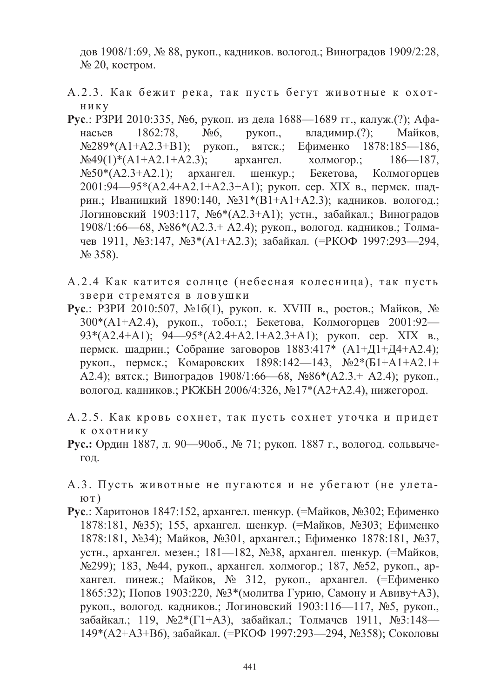дов 1908/1:69, № 88, рукоп., кадников, вологод.; Виноградов 1909/2:28, № 20, костром.

- А.2.3. Как бежит река, так пусть бегут животные к охот-**НИКУ**
- Рус.: РЗРИ 2010:335, №6, рукоп. из дела 1688—1689 гг., калуж.(?); Афанасьев 1862:78,  $N<sub>26</sub>$ рукоп., владимир.(?); Майков,  $N<sub>2</sub>289*(A1+A2.3+B1);$  рукоп., вятск.; Ефименко  $1878:185 - 186$  $N<sub>2</sub>49(1)*(A1+A2.1+A2.3)$ ; архангел. холмогор.;  $186 - 187$ ,  $N_2$ 50\*(A2.3+A2.1); архангел. шенкур.; Бекетова. Колмогорцев 2001:94—95\*(A2.4+A2.1+A2.3+A1); рукоп. сер. XIX в., пермск. шадрин.; Иваницкий 1890:140, №31\*(В1+А1+А2.3); кадников. вологод.; Логиновский 1903:117, №6\*(А2.3+А1); устн., забайкал.; Виноградов  $1908/1:66$ —68,  $\mathcal{N}$ 286<sup>\*</sup>(A2.3.+ A2.4); рукоп., вологод. кадников.; Толмачев 1911, №3:147, №3\*(А1+А2.3); забайкал. (=РКОФ 1997:293-294,  $N_2$  358).
- А.2.4 Как катится солнце (небесная колесница), так пусть звери стремятся в ловушки
- Рус.: РЗРИ 2010:507, №1б(1), рукоп. к. XVIII в., ростов.; Майков, № 300\*(A1+A2.4), рукоп., тобол.; Бекетова, Колмогорцев 2001:92—  $93*(A2.4+A1); 94-95*(A2.4+A2.1+A2.3+A1);$  рукоп. сер. XIX в., пермск. шадрин.; Собрание заговоров 1883:417\* (А1+Д1+Д4+А2.4); рукоп., пермск.; Комаровских 1898:142—143, №2\*(Б1+А1+А2.1+ А2.4); вятск.; Виноградов 1908/1:66—68, №86\*(А2.3.+ А2.4); рукоп., вологод. кадников.; РКЖБН 2006/4:326, №17\*(А2+А2.4), нижегород.
- А.2.5. Как кровь сохнет, так пусть сохнет уточка и придет К ОХОТНИКУ
- Рус.: Ордин 1887, л. 90—90об., № 71; рукоп. 1887 г., вологод. сольвыче-ГОД.
- А.3. Пусть животные не пугаются и не убегают (не улета- $_{\rm IOT})$
- **Pyc.:** Харитонов 1847:152, архангел. шенкур. (=Майков, №302; Ефименко 1878:181, №35); 155, архангел, шенкур, (=Майков, №303; Ефименко 1878:181, №34); Майков, №301, архангел.; Ефименко 1878:181, №37, устн., архангел. мезен.; 181—182, №38, архангел. шенкур. (=Майков, №299); 183, №44, рукоп., архангел. холмогор.; 187, №52, рукоп., архангел. пинеж.; Майков, № 312, рукоп., архангел. (=Ефименко 1865:32); Попов 1903:220, №3\*(молитва Гурию, Самону и Авиву+А3), рукоп., вологод. кадников.; Логиновский 1903:116—117, №5, рукоп., забайкал.; 119, №2\*(Г1+А3), забайкал.; Толмачев 1911, №3:148-149\*(А2+А3+В6), забайкал. (=РКОФ 1997:293—294, №358); Соколовы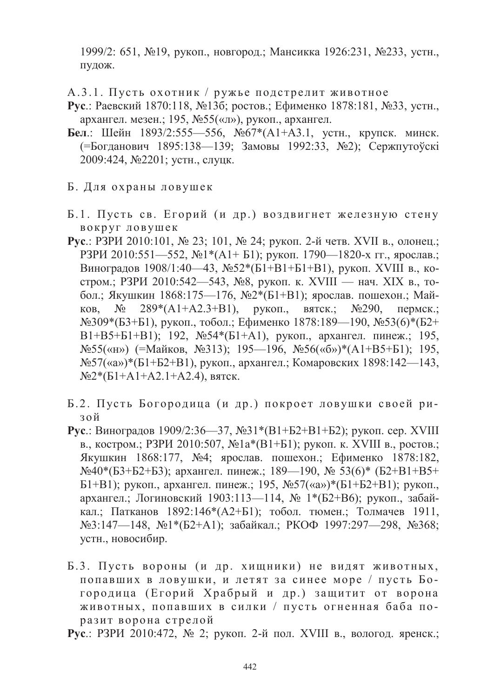1999/2: 651, №19, рукоп., новгород.; Мансикка 1926:231, №233, устн., пудож.

А.3.1. Пусть охотник / ружье подстрелит животное

- Рус.: Раевский 1870:118, №13б; ростов.; Ефименко 1878:181, №33, устн., архангел. мезен.; 195, №55(«л»), рукоп., архангел.
- Бел.: Шейн 1893/2:555—556, №67\*(A1+A3.1, устн., крупск. минск. (=Богданович 1895:138—139; Замовы 1992:33, №2); Сержпутоўскі 2009:424, №2201; устн., слуцк.
- Б. Для охраны ловушек
- Б.1. Пусть св. Егорий (и др.) воздвигнет железную стену вокруг ловушек
- Рус.: РЗРИ 2010:101, № 23; 101, № 24; рукоп. 2-й четв. XVII в., олонец.; РЗРИ 2010:551-552, №1\*(А1+ Б1); рукоп. 1790-1820-х гг., ярослав.; Виноградов 1908/1:40—43, №52\*(Б1+В1+Б1+В1), рукоп. XVIII в., костром.; РЗРИ 2010:542-543, №8, рукоп. к. XVIII - нач. XIX в., тобол.; Якушкин 1868:175—176, №2\*(Б1+В1); ярослав. пошехон.; Майков, № 289\*(A1+A2.3+B1), рукоп., вятск.;  $N<sub>2</sub>290$ пермск.;  $N$ 209\*(Б3+Б1), рукоп., тобол.; Ефименко 1878:189—190,  $N$ 253(6)\*(Б2+  $B1+B5+B1+B1$ ); 192, №54\*(Б1+А1), рукоп., архангел. пинеж.; 195,  $N$ <u>е55</u>(«н») (=Майков, №313); 195—196, №56(«б»)\*(А1+В5+Б1); 195,  $N_{2}57(\omega)$ \*(Б1+Б2+В1), рукоп., архангел.; Комаровских 1898:142—143,  $N<sub>2</sub><sup>*</sup>(E1+A1+A2.1+A2.4)$ , вятск.
- Б.2. Пусть Богородица (и др.) покроет ловушки своей ризой
- Рус.: Виноградов 1909/2:36—37, №31\*(В1+Б2+В1+Б2); рукоп. сер. XVIII в., костром.; РЗРИ 2010:507, №1а\*(В1+Б1); рукоп. к. XVIII в., ростов.; Якушкин 1868:177, №4; ярослав, пошехон.; Ефименко 1878:182,  $N\&40*(53+B2+B3)$ ; архангел. пинеж.; 189—190, № 53(6)\* (Б2+В1+В5+ Б1+В1); рукоп., архангел. пинеж.; 195, №57(«а»)\*(Б1+Б2+В1); рукоп., архангел.: Логиновский 1903:113-114, № 1\*(Б2+В6); рукоп., забайкал.; Патканов 1892:146\*(А2+Б1); тобол. тюмен.; Толмачев 1911, №3:147—148, №1\*(Б2+А1); забайкал.; РКОФ 1997:297—298, №368; устн., новосибир.
- Б.3. Пусть вороны (и др. хищники) не видят животных, попавших в ловушки, и летят за синее море / пусть Богородица (Егорий Храбрый и др.) защитит от ворона животных, попавших в силки / пусть огненная баба поразит ворона стрелой
- **Рус.:** РЗРИ 2010:472, № 2; рукоп. 2-й пол. XVIII в., вологод. яренск.;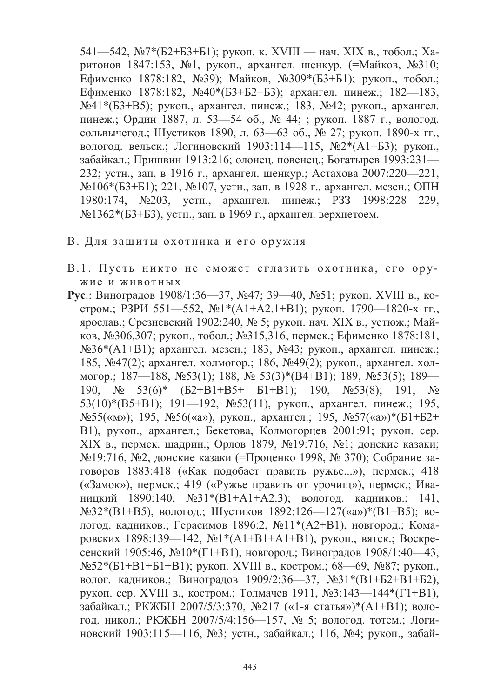541—542, №7\*(Б2+Б3+Б1); рукоп. к. XVIII — нач. XIX в., тобол.; Харитонов 1847:153, №1, рукоп., архангел. шенкур. (=Майков, №310; Ефименко 1878:182, №39); Майков, №309\*(Б3+Б1); рукоп., тобол.; Ефименко 1878:182, №40\*(Б3+Б2+Б3); архангел. пинеж.; 182—183, №41\*(Б3+В5); рукоп., архангел. пинеж.; 183, №42; рукоп., архангел. пинеж.; Ордин 1887, л. 53—54 об., № 44; ; рукоп. 1887 г., вологод. сольвычегод.; Шустиков 1890, л. 63—63 об., № 27; рукоп. 1890-х гг., вологод. вельск.; Логиновский 1903:114—115, №2\*(А1+Б3); рукоп., забайкал.; Пришвин 1913:216; олонец. повенец.; Богатырев 1993:231— 232; устн., зап. в 1916 г., архангел. шенкур.; Астахова 2007:220-221, №106\*(Б3+Б1); 221, №107, устн., зап. в 1928 г., архангел. мезен.; ОПН 1980:174, №203, устн., архангел. пинеж.; РЗЗ 1998:228-229, №1362\*(Б3+Б3), устн., зап. в 1969 г., архангел. верхнетоем.

- В. Для защиты охотника и его оружия
- В.1. Пусть никто не сможет сглазить охотника, его оружие и животных
- Рус.: Виноградов 1908/1:36—37, №47; 39—40, №51; рукоп. XVIII в., костром.; РЗРИ 551—552, №1\*(А1+А2.1+В1); рукоп. 1790—1820-х гг., ярослав.; Срезневский 1902:240, № 5; рукоп. нач. XIX в., устюж.; Майков, №306,307; рукоп., тобол.; №315,316, пермск.; Ефименко 1878:181, №36\*(А1+В1); архангел. мезен.; 183, №43; рукоп., архангел. пинеж.; 185, №47(2); архангел. холмогор.; 186, №49(2); рукоп., архангел. холмогор.; 187—188, №53(1); 188, № 53(3)\*(В4+В1); 189, №53(5); 189— 190,  $\mathcal{N}_2$  53(6)\* (52+B1+B5+ 51+B1); 190,  $\mathcal{N}_2$ 53(8); 191,  $\mathcal{N}_2$ 53(10)\*(В5+В1); 191—192, №53(11), рукоп., архангел. пинеж.; 195, №55(«м»); 195, №56(«а»), рукоп., архангел.; 195, №57(«а»)\*(Б1+Б2+ В1), рукоп., архангел.; Бекетова, Колмогорцев 2001:91; рукоп. сер. XIX в., пермск. шадрин.; Орлов 1879, №19:716, №1; донские казаки; №19:716, №2, донские казаки (=Проценко 1998, № 370); Собрание заговоров 1883:418 («Как подобает править ружье...»), пермск.; 418 («Замок»), пермск.; 419 («Ружье править от урочищ»), пермск.; Иваницкий 1890:140, №31\*(B1+A1+A2.3); вологод. кадников.; 141,  $N_{2}32*(B1+B5)$ , вологод.; Шустиков 1892:126—127(«а»)\*(B1+B5); вологод. кадников.; Герасимов 1896:2, №11\*(А2+В1), новгород.; Комаровских 1898:139—142, №1\*(А1+В1+А1+В1), рукоп., вятск.; Воскресенский 1905:46, №10\*(Г1+В1), новгород.; Виноградов 1908/1:40—43, №52\*(Б1+В1+Б1+В1); рукоп. XVIII в., костром.; 68—69, №87; рукоп., волог. кадников.; Виноградов 1909/2:36—37, №31\*(В1+Б2+В1+Б2), рукоп. сер. XVIII в., костром.; Толмачев 1911, №3:143—144\*(Г1+В1), забайкал.; РКЖБН 2007/5/3:370, №217 («1-я статья»)\*(А1+В1); вологод. никол.; РКЖБН 2007/5/4:156—157, № 5; вологод. тотем.; Логиновский 1903:115—116, №3; устн., забайкал.; 116, №4; рукоп., забай-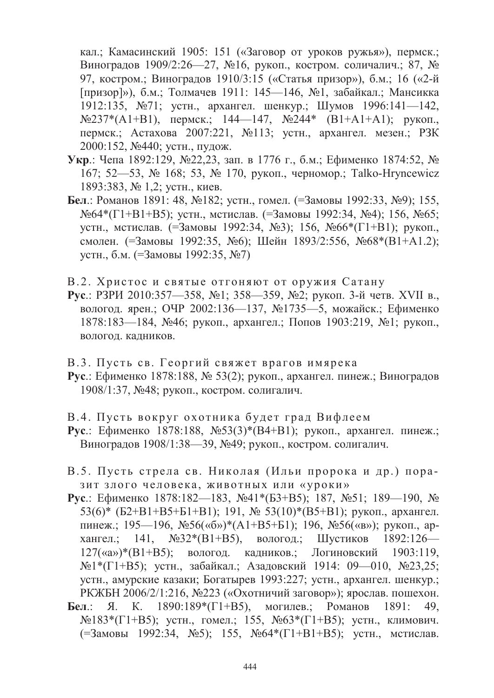кал.; Камасинский 1905: 151 («Заговор от уроков ружья»), пермск.; Виноградов 1909/2:26-27, №16, рукоп., костром. соличалич.; 87, № 97, костром.; Виноградов 1910/3:15 («Статья призор»), б.м.; 16 («2-й [призор]»), б.м.: Толмачев 1911: 145—146, №1, забайкал.; Мансикка 1912:135, №71; устн., архангел. шенкур.; Шумов 1996:141-142,  $N$ <sup>237\*</sup>(A1+B1), пермск.; 144—147, №244\* (B1+A1+A1); рукоп., пермск.; Астахова 2007:221, №113; устн., архангел. мезен.; РЗК 2000:152, №440; устн., пудож.

- Укр.: Чепа 1892:129, №22,23, зап. в 1776 г., б.м.; Ефименко 1874:52, № 167; 52—53, № 168; 53, № 170, рукоп., черномор.; Talko-Hryncewicz 1893:383, № 1,2; устн., киев.
- Бел.: Романов 1891: 48, №182; устн., гомел. (=Замовы 1992:33, №9); 155, №64\*(Г1+В1+В5); устн., мстислав. (=Замовы 1992:34, №4); 156, №65; устн., мстислав. (=Замовы 1992:34, №3); 156, №66\*(Г1+В1); рукоп., смолен. (=Замовы 1992:35, №6); Шейн 1893/2:556, №68\*(В1+А1.2); устн., б.м. (=Замовы 1992:35, №7)
- В.2. Христос и святые отгоняют от оружия Сатану
- Рус.: РЗРИ 2010:357—358, №1; 358—359, №2; рукоп. 3-й четв. XVII в., вологод. ярен.; ОЧР 2002:136—137, №1735—5, можайск.; Ефименко 1878:183—184, №46; рукоп., архангел.; Попов 1903:219, №1; рукоп., вологод. кадников.
- В.3. Пусть св. Георгий свяжет врагов имярека
- Рус.: Ефименко 1878:188, № 53(2); рукоп., архангел. пинеж.; Виноградов 1908/1:37, №48; рукоп., костром. солигалич.
- В.4. Пусть вокруг охотника будет град Вифлеем
- Рус.: Ефименко 1878:188, №53(3)\*(В4+В1); рукоп., архангел. пинеж.; Виноградов 1908/1:38—39, №49; рукоп., костром. солигалич.
- В.5. Пусть стрела св. Николая (Ильи пророка и др.) поразит злого человека, животных или «уроки»
- Рус.: Ефименко 1878:182—183, №41\*(Б3+В5); 187, №51; 189—190, № 53(6)\* (Б2+В1+В5+Б1+В1); 191, № 53(10)\*(В5+В1); рукоп., архангел. пинеж.; 195—196, №56(«б»)\*(А1+В5+Б1); 196, №56(«в»); рукоп., архангел.; 141,  $N_232*(B1+B5)$ , вологод.: Шустиков 1892:126—  $127(\text{max})$ \*(B1+B5); вологод, кадников, Логиновский 1903;119, №1\*(Г1+В5); устн., забайкал.; Азадовский 1914: 09—010, №23,25; устн., амурские казаки; Богатырев 1993:227; устн., архангел. шенкур.; РКЖБН 2006/2/1:216, №223 («Охотничий заговор»); ярослав. пошехон.
- Бел.: Я. К. 1890:189\*( $\Gamma$ 1+В5), могилев.; Романов 1891: 49. №183\*(Г1+В5); устн., гомел.; 155, №63\*(Г1+В5); устн., климович. (=Замовы 1992:34, №5); 155, №64\*(Г1+В1+В5); устн., мстислав.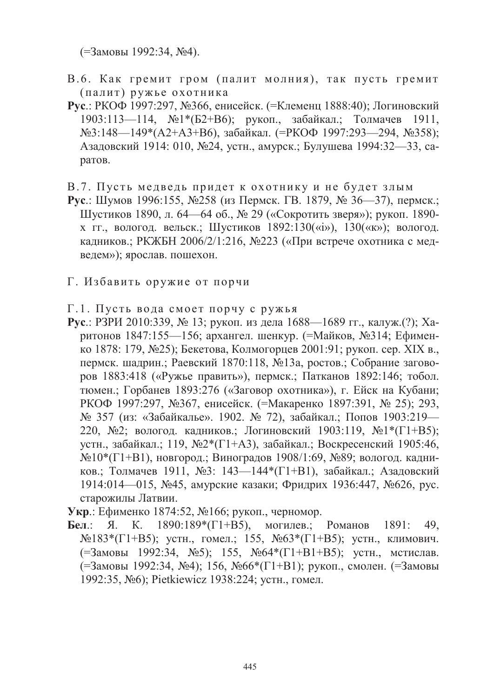(=Замовы 1992:34, №4).

- В.6. Как гремит гром (палит молния), так пусть гремит (палит) ружье охотника
- Рус.: РКОФ 1997:297, №366, енисейск. (=Клеменц 1888:40); Логиновский 1903:113—114, №1\*(Б2+В6); рукоп., забайкал.; Толмачев 1911, №3:148—149\*(А2+А3+В6), забайкал. (=РКОФ 1997:293—294, №358); Азадовский 1914: 010, №24, устн., амурск.; Булушева 1994:32—33, саратов.
- В.7. Пусть медведь придет к охотнику и не будет злым
- Рус.: Шумов 1996:155, №258 (из Пермск. ГВ. 1879, № 36—37), пермск.; Шустиков 1890, л. 64—64 об., № 29 («Сокротить зверя»); рукоп. 1890х гг., вологод. вельск.; Шустиков  $1892:130$ («i»),  $130$ («к»); вологод. кадников.; РКЖБН 2006/2/1:216, №223 («При встрече охотника с медведем»); ярослав. пошехон.
- Г. Избавить оружие от порчи
- Г.1. Пусть вода смоет порчу с ружья
- Рус.: РЗРИ 2010:339, № 13; рукоп. из дела 1688—1689 гг., калуж.(?); Харитонов 1847:155—156; архангел. шенкур. (=Майков, №314; Ефименко 1878: 179, №25); Бекетова, Колмогорцев 2001:91; рукоп. сер. XIX в., пермск. шадрин.; Раевский 1870:118, №13а, ростов.; Собрание заговоров 1883:418 («Ружье править»), пермск.; Патканов 1892:146; тобол. тюмен.; Горбанев 1893:276 («Заговор охотника»), г. Ейск на Кубани; РКОФ 1997:297, №367, енисейск. (=Макаренко 1897:391, № 25); 293, № 357 (из: «Забайкалье». 1902. № 72), забайкал.; Попов 1903:219-220, №2; вологод. кадников.; Логиновский 1903:119, №1\*(Г1+В5); устн., забайкал.; 119, №2\*(Г1+А3), забайкал.; Воскресенский 1905:46, №10\*(Г1+В1), новгород.; Виноградов 1908/1:69, №89; вологод. кадников.; Толмачев 1911, №3: 143—144\*(Г1+В1), забайкал.; Азадовский 1914:014—015, №45, амурские казаки; Фридрих 1936:447, №626, рус. старожилы Латвии.
- Укр.: Ефименко 1874:52, №166; рукоп., черномор.
- Бел.: Я. К. 1890:189\*( $\Gamma$ 1+В5), могилев.: Романов 1891: 49.  $N$ <sup>0</sup> 183<sup>\*</sup>(Г1+В5); устн., гомел.; 155,  $N$ <sup>063\*</sup>(Г1+В5); устн., климович. (=Замовы 1992:34, №5); 155, №64\*(Г1+В1+В5); устн., мстислав. (=Замовы 1992:34, №4); 156, №66\*(Г1+В1); рукоп., смолен. (=Замовы 1992:35, №6); Pietkiewicz 1938:224; устн., гомел.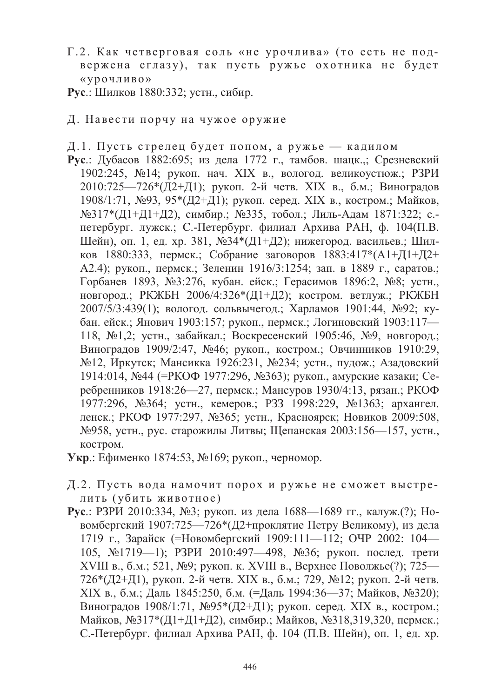- Г.2. Как четверговая соль «не урочлива» (то есть не подвержена сглазу), так пусть ружье охотника не будет «урочливо»
- Рус.: Шилков 1880:332; устн., сибир.
- Д. Навести порчу на чужое оружие
- Д.1. Пусть стрелец будет попом, а ружье кадилом
- Рус.: Дубасов 1882:695; из дела 1772 г., тамбов. шацк.,; Срезневский 1902:245, №14; рукоп. нач. XIX в., вологод. великоустюж.; РЗРИ 2010:725—726\*(Д2+Д1); рукоп. 2-й четв. XIX в., б.м.; Виноградов 1908/1:71, №93, 95\*(Д2+Д1); рукоп. серед. XIX в., костром.; Майков, №317\*(Д1+Д1+Д2), симбир.; №335, тобол.; Лиль-Адам 1871:322; с.петербург. лужск.; С.-Петербург. филиал Архива РАН, ф. 104(П.В. Шейн), оп. 1, ед. хр. 381, №34\*(Д1+Д2); нижегород. васильев.; Шилков 1880:333, пермск.; Собрание заговоров 1883:417\*(А1+Д1+Д2+ А2.4); рукоп., пермск.; Зеленин 1916/3:1254; зап. в 1889 г., саратов.; Горбанев 1893, №3:276, кубан. ейск.; Герасимов 1896:2, №8; устн., новгород.; РКЖБН 2006/4:326\*(Д1+Д2); костром. ветлуж.; РКЖБН 2007/5/3:439(1); вологод. сольвычегод.; Харламов 1901:44, №92; кубан. ейск.; Янович 1903:157; рукоп., пермск.; Логиновский 1903:117-118, №1,2; устн., забайкал.; Воскресенский 1905:46, №9, новгород.; Виноградов 1909/2:47, №46; рукоп., костром.; Овчинников 1910:29, №12, Иркутск; Мансикка 1926:231, №234; устн., пудож.; Азадовский 1914:014, №44 (=РКОФ 1977:296, №363); рукоп., амурские казаки; Серебренников 1918:26—27, пермск.; Мансуров 1930/4:13, рязан.; РКОФ 1977:296, №364; устн., кемеров.; РЗЗ 1998:229, №1363; архангел. ленск.; РКОФ 1977:297, №365; устн., Красноярск; Новиков 2009:508, №958, устн., рус. старожилы Литвы; Щепанская 2003:156—157, устн., костром.
- Укр.: Ефименко 1874:53, №169; рукоп., черномор.
- Д.2. Пусть вода намочит порох и ружье не сможет выстрелить (убить животное)
- Рус.: РЗРИ 2010:334, №3; рукоп. из дела 1688—1689 гг., калуж.(?); Новомбергский 1907:725—726\* (Д2+проклятие Петру Великому), из дела 1719 г., Зарайск (=Новомбергский 1909:111-112; ОЧР 2002: 104-105, №1719-1); РЗРИ 2010:497-498, №36; рукоп. послед. трети XVIII в., б.м.; 521, №9; рукоп. к. XVIII в., Верхнее Поволжье(?); 725—  $726*(12+\frac{11}{9})$ , рукоп. 2-й четв. XIX в., б.м.; 729, №12; рукоп. 2-й четв. XIX в., б.м.; Даль 1845:250, б.м. (=Даль 1994:36—37; Майков, №320); Виноградов 1908/1:71, №95\*(Д2+Д1); рукоп. серед. XIX в., костром.; Майков, №317\*(Д1+Д1+Д2), симбир.; Майков, №318,319,320, пермск.; С.-Петербург. филиал Архива РАН, ф. 104 (П.В. Шейн), оп. 1, ед. хр.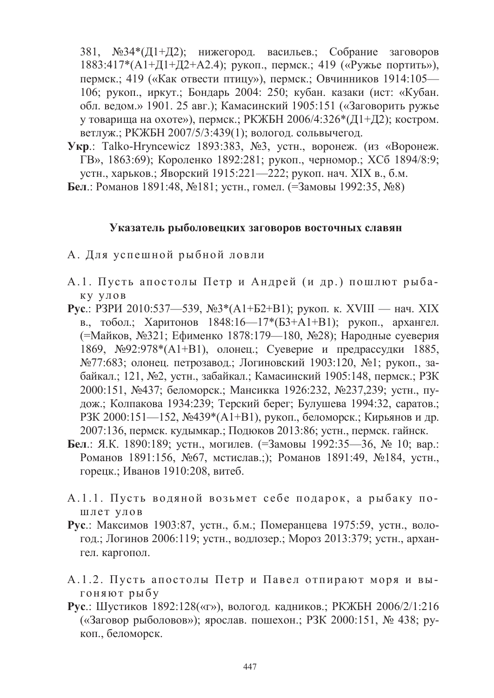381,  $N\Omega^{34*}(11+12)$ ; нижегород, васильев; Собрание заговоров 1883:417\*(А1+Д1+Д2+А2.4); рукоп., пермск.; 419 («Ружье портить»), пермск.; 419 («Как отвести птицу»), пермск.; Овчинников 1914:105-106: рукоп., иркут.: Бондарь 2004: 250: кубан, казаки (ист. «Кубан, обл. ведом.» 1901. 25 авг.); Камасинский 1905:151 («Заговорить ружье у товарища на охоте»), пермск.; РКЖБН 2006/4:326\*(Д1+Д2); костром. ветлуж.; РКЖБН 2007/5/3:439(1); вологод. сольвычегод.

- Укр.: Talko-Hryncewicz 1893:383, №3, устн., воронеж. (из «Воронеж. ГВ», 1863:69); Короленко 1892:281; рукоп., черномор.; ХСб 1894/8:9; устн., харьков.; Яворский 1915:221—222; рукоп. нач. XIX в., б.м.
- Бел.: Романов 1891:48, №181; устн., гомел. (=Замовы 1992:35, №8)

#### Указатель рыболовецких заговоров восточных славян

- А. Для успешной рыбной ловли
- А.1. Пусть апостолы Петр и Андрей (и др.) пошлют рыба-КУ УЛОВ
- **Рус.**: РЗРИ 2010:537—539, №3\*(А1+Б2+В1); рукоп. к. XVIII нач. XIX в., тобол.; Харитонов 1848:16—17\*(БЗ+А1+В1); рукоп., архангел. (=Майков, №321; Ефименко 1878:179—180, №28); Народные суеверия 1869,  $N_292:978*(A1+B1)$ , олонец.; Суеверие и предрассудки 1885, №77:683; олонец. петрозавод.; Логиновский 1903:120, №1; рукоп., забайкал.; 121, №2, устн., забайкал.; Камасинский 1905:148, пермск.; РЗК 2000:151, №437; беломорск.; Мансикка 1926:232, №237,239; устн., пудож.; Колпакова 1934:239; Терский берег; Булушева 1994:32, саратов.; РЗК 2000:151—152, №439\*(А1+В1), рукоп., беломорск.; Кирьянов и др. 2007:136, пермск. кудымкар.; Подюков 2013:86; устн., пермск. гайнск.
- Бел.: Я.К. 1890:189; устн., могилев. (=Замовы 1992:35—36, № 10; вар.: Романов 1891:156, №67, мстислав.;); Романов 1891:49, №184, устн., горецк.; Иванов 1910:208, витеб.
- А.1.1. Пусть водяной возьмет себе подарок, а рыбаку пошлет улов
- Рус.: Максимов 1903:87, устн., б.м.; Померанцева 1975:59, устн., вологод.: Логинов 2006:119; устн., водлозер.: Мороз 2013:379; устн., архангел. каргопол.
- А.1.2. Пусть апостолы Петр и Павел отпирают моря и выгоняют рыбу
- **Рус.:** Шустиков 1892:128(«г»), вологод. кадников.; РКЖБН 2006/2/1:216 («Заговор рыболовов»); ярослав. пошехон.; РЗК 2000:151, № 438; рукоп., беломорск.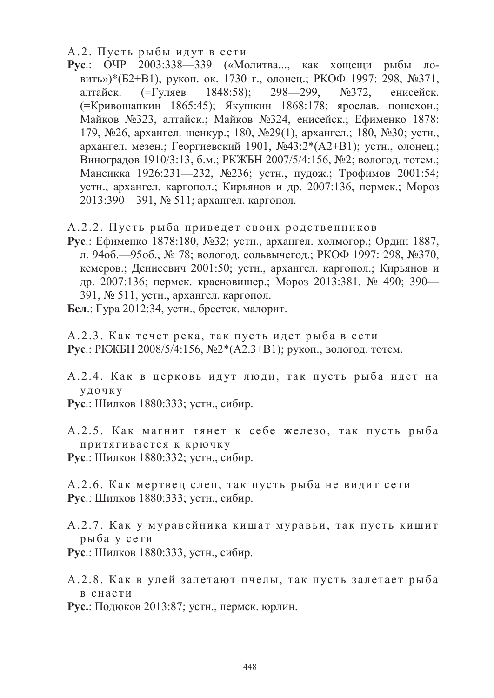- А.2. Пусть рыбы идут в сети
- Рус.: ОЧР 2003:338-339 («Молитва..., как хощещи рыбы ловить»)\*(Б2+В1), рукоп. ок. 1730 г., олонец.; РКОФ 1997: 298, №371, алтайск.  $(=\Gamma \text{VJI}$ яев 1848:58):  $298 - 299$ ,  $N_2372$ , енисейск. (=Кривошапкин 1865:45); Якушкин 1868:178; ярослав. пошехон.; Майков №323, алтайск.; Майков №324, енисейск.; Ефименко 1878: 179, №26, архангел. шенкур.; 180, №29(1), архангел.; 180, №30; устн., архангел. мезен.; Георгиевский 1901, №43:2\*(А2+В1); устн., олонец.; Виноградов 1910/3:13, б.м.; РКЖБН 2007/5/4:156, №2; вологод. тотем.; Мансикка 1926:231—232, №236; устн., пудож.; Трофимов 2001:54; устн., архангел. каргопол.; Кирьянов и др. 2007:136, пермск.; Мороз 2013:390—391, № 511; архангел. каргопол.
- А.2.2. Пусть рыба приведет своих родственников
- Рус.: Ефименко 1878:180, №32; устн., архангел. холмогор.; Ордин 1887, л. 94об.—95об., № 78; вологод. сольвычегод.; РКОФ 1997: 298, №370, кемеров.; Денисевич 2001:50; устн., архангел. каргопол.; Кирьянов и др. 2007:136; пермск. красновишер.; Мороз 2013:381, № 490; 390— 391, № 511, устн., архангел. каргопол.
- Бел.: Гура 2012:34, устн., брестск. малорит.
- А.2.3. Как течет река, так пусть идет рыба в сети **Рус.**: РКЖБН 2008/5/4:156, №2\*(А2.3+В1); рукоп., вологод. тотем.
- А.2.4. Как в церковь идут люди, так пусть рыба идет на  $V \Pi 0$   $V$   $K$   $V$
- Рус.: Шилков 1880:333; устн., сибир.
- А.2.5. Как магнит тянет к себе железо, так пусть рыба притягивается к крючку
- Рус.: Шилков 1880:332; устн., сибир.
- А.2.6. Как мертвец слеп, так пусть рыба не видит сети Рус.: Шилков 1880:333; устн., сибир.
- А.2.7. Как у муравейника кишат муравьи, так пусть кишит рыба у сети
- Рус.: Шилков 1880:333, устн., сибир.
- А.2.8. Как в улей залетают пчелы, так пусть залетает рыба в снасти
- Рус.: Подюков 2013:87; устн., пермск. юрлин.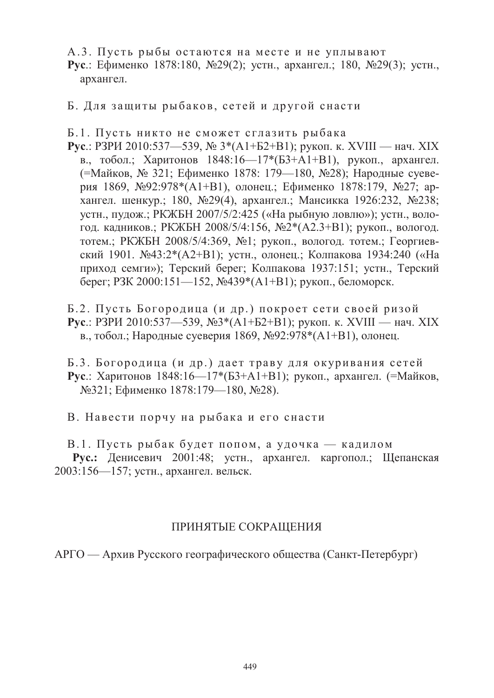А.3. Пусть рыбы остаются на месте и не уплывают

Рус.: Ефименко 1878:180, №29(2); устн., архангел.; 180, №29(3); устн., архангел.

Б. Для защиты рыбаков, сетей и другой снасти

Б.1. Пусть никто не сможет сглазить рыбака

**Рус.**: РЗРИ 2010:537—539, № 3\*(А1+Б2+В1); рукоп. к. XVIII — нач. XIX в., тобол.; Харитонов 1848:16-17\*(Б3+А1+В1), рукоп., архангел. (=Майков, № 321; Ефименко 1878: 179—180, №28); Народные суеверия 1869, №92:978\*(А1+В1), олонец.; Ефименко 1878:179, №27; архангел. шенкур.; 180, №29(4), архангел.; Мансикка 1926:232, №238; устн., пудож.; РКЖБН 2007/5/2:425 («На рыбную ловлю»); устн., вологод. кадников.; РКЖБН 2008/5/4:156, №2\*(А2.3+В1); рукоп., вологод. тотем.; РКЖБН 2008/5/4:369, №1; рукоп., вологод. тотем.; Георгиевский 1901. №43:2\*(А2+В1); устн., олонец.; Колпакова 1934:240 («На приход семги»); Терский берег; Колпакова 1937:151; устн., Терский берег; РЗК 2000:151—152, №439\*(А1+В1); рукоп., беломорск.

Б.2. Пусть Богородица (и др.) покроет сети своей ризой **Рус.**: РЗРИ 2010:537—539, №3\*(А1+Б2+В1); рукоп. к. XVIII — нач. XIX в., тобол.; Народные суеверия 1869, №92:978\*(А1+В1), олонец.

Б.3. Богородица (и др.) дает траву для окуривания сетей Рус.: Харитонов 1848:16—17\*(Б3+А1+В1); рукоп., архангел. (=Майков, №321; Ефименко 1878:179—180, №28).

В. Навести порчу на рыбака и его снасти

В.1. Пусть рыбак будет попом, а удочка — кадилом Рус.: Денисевич 2001:48; устн., архангел. каргопол.; Щепанская 2003:156-157; устн., архангел. вельск.

#### **ПРИНЯТЫЕ СОКРАЩЕНИЯ**

АРГО — Архив Русского географического общества (Санкт-Петербург)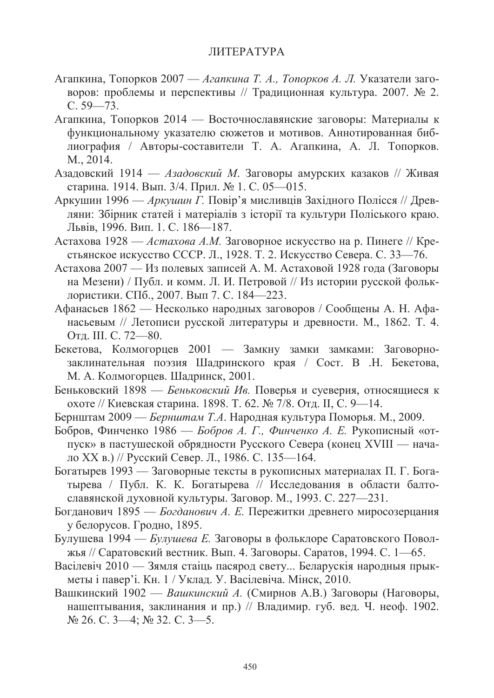#### **ПИТЕРАТУРА**

- Агапкина, Топорков 2007 Агапкина Т. А., Топорков А. Л. Указатели заговоров: проблемы и перспективы // Тралиционная культура, 2007. № 2.  $C. 59 - 73.$
- Агапкина, Топорков 2014 Восточнославянские заговоры: Материалы к функциональному указателю сюжетов и мотивов. Аннотированная библиография / Авторы-составители Т. А. Агапкина, А. Л. Топорков. M., 2014.
- Азадовский 1914 Азадовский М. Заговоры амурских казаков // Живая старина. 1914. Вып. 3/4. Прил. № 1. С. 05—015.
- Аркушин 1996 Аркушин Г. Повір'я мисливців Західного Полісся // Древляни: Збірник статей і матеріалів з історії та культури Поліського краю. Львів, 1996. Вип. 1. С. 186-187.
- Астахова 1928 Астахова А.М. Заговорное искусство на р. Пинеге // Крестьянское искусство СССР. Л., 1928. Т. 2. Искусство Севера. С. 33-76.
- Астахова 2007 Из полевых записей А. М. Астаховой 1928 года (Заговоры на Мезени) / Публ. и комм. Л. И. Петровой // Из истории русской фольклористики. СПб., 2007. Вып 7. С. 184-223.
- Афанасьев 1862 Несколько народных заговоров / Сообщены А. Н. Афанасьевым // Летописи русской литературы и древности. М., 1862. Т. 4. Отд. Ш. С. 72—80.
- Бекетова, Колмогорцев 2001 Замкну замки замками: Заговорнозаклинательная поэзия Шадринского края / Сост. В .Н. Бекетова, М. А. Колмогорцев. Шадринск, 2001.
- Беньковский 1898 Беньковский Ив. Поверья и суеверия, относящиеся к охоте // Киевская старина. 1898. Т. 62. № 7/8. Отд. II, С. 9—14.
- Бернштам 2009 Бернштам Т.А. Народная культура Поморья. М., 2009.
- Бобров, Финченко 1986 *Бобров А. Г., Финченко А. Е.* Рукописный «отпуск» в пастушеской обрядности Русского Севера (конец XVIII — начало XX в.) // Русский Север. Л., 1986. С. 135—164.
- Богатырев 1993 Заговорные тексты в рукописных материалах П. Г. Богатырева / Публ. К. К. Богатырева // Исследования в области балтославянской духовной культуры. Заговор. М., 1993. С. 227-231.
- Богданович 1895 Богданович А. Е. Пережитки древнего миросозерцания у белорусов. Гродно, 1895.
- Булушева 1994 Булушева Е. Заговоры в фольклоре Саратовского Поволжья // Саратовский вестник. Вып. 4. Заговоры. Саратов, 1994. С. 1—65.
- Васілевіч 2010 Зямля стаіць пасярод свету... Беларускія народныя прыкметы і павер'і. Кн. 1 / Уклад. У. Васілевіча. Мінск, 2010.
- Вашкинский 1902 Вашкинский А. (Смирнов А.В.) Заговоры (Наговоры, нашептывания, заклинания и пр.) // Владимир. губ. вед. Ч. неоф. 1902.  $N_2$  26. C. 3-4;  $N_2$  32. C. 3-5.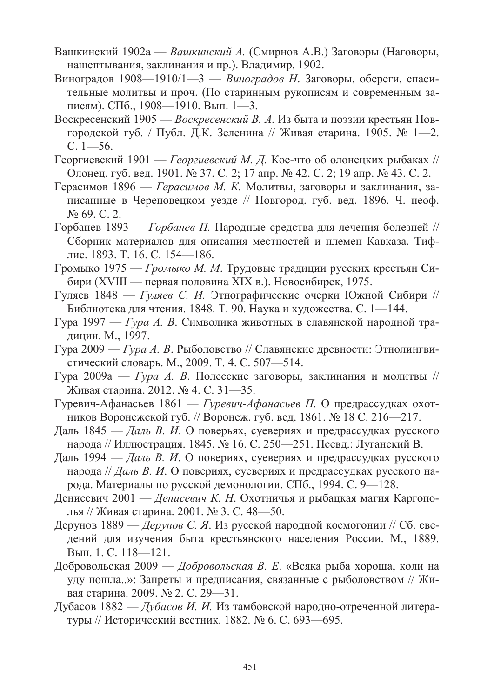- Вашкинский 1902а Вашкинский А. (Смирнов А.В.) Заговоры (Наговоры, нашептывания, заклинания и пр.). Владимир, 1902.
- Виноградов 1908—1910/1—3 Виноградов Н. Заговоры, обереги, спасительные молитвы и проч. (По старинным рукописям и современным записям). СПб., 1908—1910. Вып. 1—3.
- Воскресенский 1905 Воскресенский В. А. Из быта и поэзии крестьян Новгородской губ. / Публ. Д.К. Зеленина // Живая старина. 1905. № 1—2.  $C. 1 - 56.$
- Георгиевский 1901 Георгиевский М. Д. Кое-что об олонецких рыбаках // Олонец. губ. вед. 1901. № 37. С. 2; 17 апр. № 42. С. 2; 19 апр. № 43. С. 2.
- Герасимов 1896 Герасимов М. К. Молитвы, заговоры и заклинания, записанные в Череповецком уезде // Новгород. губ. вед. 1896. Ч. неоф. No 69, C. 2.
- Горбанев 1893 Горбанев П. Народные средства для лечения болезней // Сборник материалов для описания местностей и племен Кавказа. Тифлис. 1893. Т. 16. С. 154—186.
- Громыко 1975 Громыко М. М. Трудовые традиции русских крестьян Сибири (XVIII — первая половина XIX в.). Новосибирск, 1975.
- Гуляев 1848 Гуляев С. И. Этнографические очерки Южной Сибири // Библиотека для чтения. 1848. Т. 90. Наука и художества. С. 1—144.
- Гура 1997 Гура А. В. Символика животных в славянской народной традиции. М., 1997.
- Гура 2009 Гура А. В. Рыболовство // Славянские древности: Этнолингвистический словарь. М., 2009. Т. 4. С. 507-514.
- Гура 2009а Гура А. В. Полесские заговоры, заклинания и молитвы // Живая старина. 2012. № 4. С. 31—35.
- Гуревич-Афанасьев 1861 Гуревич-Афанасьев П. О предрассудках охотников Воронежской губ. // Воронеж. губ. вед. 1861. № 18 С. 216—217.
- Даль 1845 Даль В. И. О поверьях, суевериях и предрассудках русского народа // Иллюстрация. 1845. № 16. С. 250—251. Псевд.: Луганский В.
- Даль 1994 Даль В. И. О повериях, суевериях и предрассудках русского народа // Даль В. И. О повериях, суевериях и предрассудках русского народа. Материалы по русской демонологии. СПб., 1994. С. 9-128.
- Денисевич 2001 Денисевич К. Н. Охотничья и рыбацкая магия Каргополья // Живая старина. 2001. № 3. С. 48-50.
- Дерунов 1889 Дерунов С. Я. Из русской народной космогонии // Сб. сведений для изучения быта крестьянского населения России. М., 1889. Вып. 1. С. 118-121.
- Добровольская 2009 Добровольская В. Е. «Всяка рыба хороша, коли на уду пошла..»: Запреты и предписания, связанные с рыболовством // Живая старина. 2009. № 2. С. 29—31.
- Дубасов 1882 Дубасов И. И. Из тамбовской народно-отреченной литературы // Исторический вестник. 1882. № 6. С. 693—695.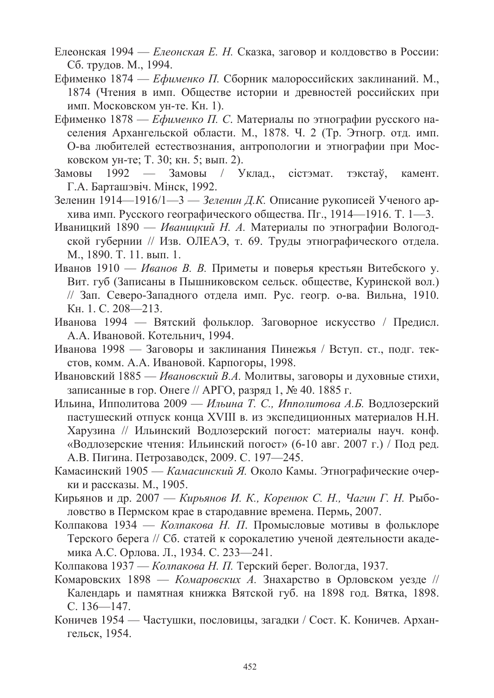- Елеонская 1994 Елеонская Е. Н. Сказка, заговор и колдовство в России: Сб. трудов. М., 1994.
- Ефименко 1874 Ефименко П. Сборник малороссийских заклинаний. М., 1874 (Чтения в имп. Обшестве истории и древностей российских при имп. Московском ун-те. Кн. 1).
- Ефименко 1878 Ефименко П. С. Материалы по этнографии русского населения Архангельской области. М., 1878. Ч. 2 (Тр. Этногр. отд. имп. О-ва любителей естествознания, антропологии и этнографии при Московском ун-те; Т. 30; кн. 5; вып. 2).
- $1992 -$ Замовы / Уклад., сістэмат. тэкстаў, камент. Замовы Г.А. Барташэвіч. Мінск, 1992.
- Зеленин 1914—1916/1—3 Зеленин Д.К. Описание рукописей Ученого архива имп. Русского географического общества. Пг., 1914—1916. Т. 1—3.
- Иваницкий 1890 Иваницкий Н. А. Материалы по этнографии Вологодской губернии // Изв. ОЛЕАЭ, т. 69. Труды этнографического отдела. М., 1890. Т. 11. вып. 1.
- Иванов 1910 Иванов В. В. Приметы и поверья крестьян Витебского у. Вит. губ (Записаны в Пышниковском сельск. обществе, Куринской вол.) // Зап. Северо-Западного отдела имп. Рус. геогр. о-ва. Вильна, 1910. Кн. 1. С. 208-213.
- Иванова 1994 Вятский фольклор. Заговорное искусство / Предисл. А.А. Ивановой. Котельнич, 1994.
- Иванова 1998 Заговоры и заклинания Пинежья / Вступ. ст., подг. текстов, комм. А.А. Ивановой. Карпогоры, 1998.
- Ивановский 1885 Ивановский В.А. Молитвы, заговоры и духовные стихи, записанные в гор. Онеге // АРГО, разряд 1, № 40. 1885 г.
- Ильина, Ипполитова 2009 Ильина Т. С., Ипполитова А.Б. Водлозерский пастушеский отпуск конца XVIII в. из экспедиционных материалов Н.Н. Харузина // Ильинский Водлозерский погост: материалы науч. конф. «Водлозерские чтения: Ильинский погост» (6-10 авг. 2007 г.) / Под ред. А.В. Пигина. Петрозаводск, 2009. С. 197—245.
- Камасинский 1905 Камасинский Я. Около Камы. Этнографические очерки и рассказы. М., 1905.
- Кирьянов и др. 2007 Кирьянов И. К., Коренюк С. Н., Чагин Г. Н. Рыболовство в Пермском крае в стародавние времена. Пермь, 2007.
- Колпакова 1934 Колпакова Н. П. Промысловые мотивы в фольклоре Терского берега // Сб. статей к сорокалетию ученой деятельности академика А.С. Орлова. Л., 1934. С. 233-241.
- Колпакова 1937 Колпакова Н. П. Терский берег. Вологда, 1937.
- Комаровских 1898 Комаровских А. Знахарство в Орловском уезде // Календарь и памятная книжка Вятской губ. на 1898 год. Вятка, 1898.  $C. 136 - 147.$
- Коничев 1954 Частушки, пословицы, загадки / Сост. К. Коничев. Архангельск, 1954.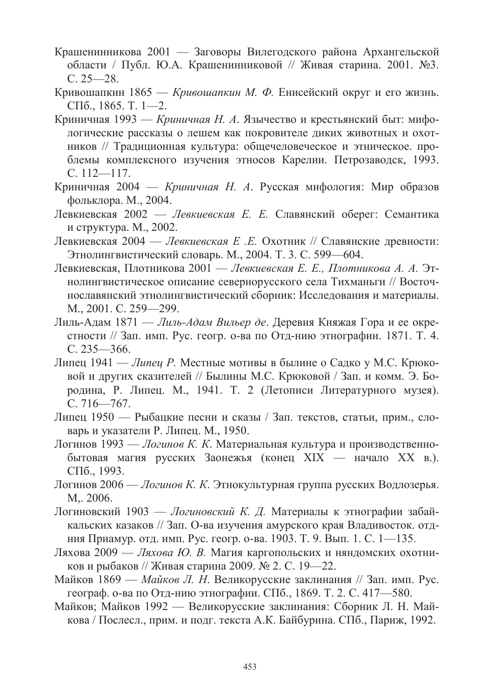- Крашенинникова 2001 Заговоры Вилегодского района Архангельской области / Публ. Ю.А. Крашенинниковой // Живая старина. 2001. №3.  $C. 25 - 28.$
- Кривошапкин 1865 Кривошапкин М. Ф. Енисейский округ и его жизнь. СПб., 1865. Т. 1—2.
- Криничная 1993 Криничная Н. А. Язычество и крестьянский быт: мифологические рассказы о лешем как покровителе диких животных и охотников // Традиционная культура: общечеловеческое и этническое. проблемы комплексного изучения этносов Карелии. Петрозаводск, 1993.  $C. 112 - 117.$
- Криничная 2004 Криничная Н. А. Русская мифология: Мир образов фольклора. М., 2004.
- Левкиевская 2002 Левкиевская Е. Е. Славянский оберег: Семантика и структура. М., 2002.
- Левкиевская 2004 Левкиевская Е.Е. Охотник // Славянские древности: Этнолингвистический словарь. М., 2004. Т. 3. С. 599-604.
- Левкиевская, Плотникова 2001 Левкиевская Е. Е., Плотникова А. А. Этнолингвистическое описание севернорусского села Тихманьги // Восточнославянский этнолингвистический сборник: Исследования и материалы. M., 2001. C. 259-299.
- Лиль-Адам 1871 Лиль-Адам Вильер де. Деревня Княжая Гора и ее окрестности // Зап. имп. Рус. геогр. о-ва по Отд-нию этнографии. 1871. Т. 4.  $C. 235 - 366.$
- Липец 1941 Липец Р. Местные мотивы в былине о Садко у М.С. Крюковой и других сказителей // Былины М.С. Крюковой / Зап. и комм. Э. Бородина, Р. Липец. М., 1941. Т. 2 (Летописи Литературного музея).  $C.716 - 767$
- Липец 1950 Рыбацкие песни и сказы / Зап. текстов, статьи, прим., словарь и указатели Р. Липец. М., 1950.
- Логинов 1993 Логинов К. К. Материальная культура и производственнобытовая магия русских Заонежья (конец XIX — начало XX в.). СПб., 1993.
- Логинов 2006 Логинов К. К. Этнокультурная группа русских Водлозерья.  $M_{\odot}$  2006.
- Логиновский 1903 Логиновский К. Д. Материалы к этнографии забайкальских казаков // Зап. О-ва изучения амурского края Владивосток. отдния Приамур. отд. имп. Рус. геогр. о-ва. 1903. Т. 9. Вып. 1. С. 1—135.
- Ляхова 2009 Ляхова Ю. В. Магия каргопольских и няндомских охотников и рыбаков // Живая старина 2009. № 2. С. 19—22.
- Майков 1869 Майков Л. Н. Великорусские заклинания // Зап. имп. Рус. географ. о-ва по Отд-нию этнографии. СПб., 1869. Т. 2. С. 417-580.
- Майков; Майков 1992 Великорусские заклинания: Сборник Л. Н. Майкова / Послесл., прим. и подг. текста А.К. Байбурина. СПб., Париж, 1992.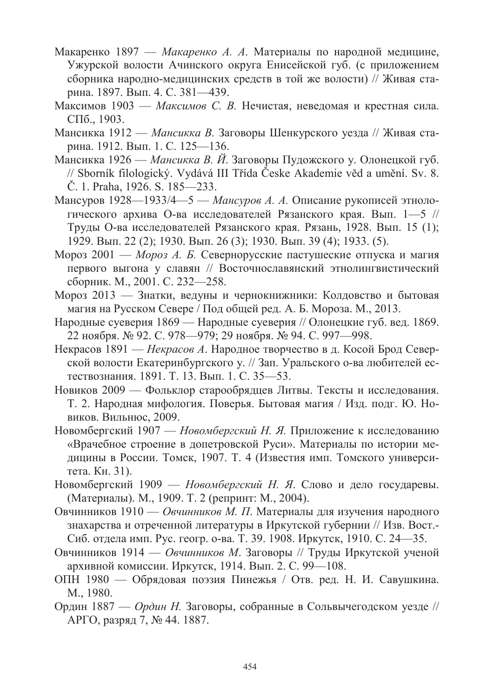- Макаренко 1897 Макаренко А. А. Материалы по народной медицине. Ужурской волости Ачинского округа Енисейской губ. (с приложением сборника народно-медицинских средств в той же волости) // Живая старина. 1897. Вып. 4. С. 381—439.
- Максимов 1903 Максимов С. В. Нечистая, неведомая и крестная сила. СПб., 1903.
- Мансикка 1912 Мансикка В. Заговоры Шенкурского уезда // Живая старина. 1912. Вып. 1. С. 125—136.
- Мансикка 1926 Мансикка В. И. Заговоры Пудожского у. Олонецкой губ. // Sborník filologický. Vydává III Třída Česke Akademie věd a umění. Sv. 8. Č. 1. Praha, 1926. S. 185—233.
- Мансуров 1928—1933/4—5 Мансуров А. А. Описание рукописей этнологического архива О-ва исследователей Рязанского края. Вып. 1-5 // Труды О-ва исследователей Рязанского края. Рязань, 1928. Вып. 15 (1); 1929. Вып. 22 (2); 1930. Вып. 26 (3); 1930. Вып. 39 (4); 1933. (5).
- Мороз 2001 Мороз А. Б. Севернорусские пастушеские отпуска и магия первого выгона у славян // Восточнославянский этнолингвистический сборник. М., 2001. С. 232-258.
- Мороз 2013 Знатки, ведуны и чернокнижники: Колдовство и бытовая магия на Русском Севере / Под общей ред. А. Б. Мороза. М., 2013.
- Народные суеверия 1869 Народные суеверия // Олонецкие губ. вед. 1869. 22 ноября. № 92. С. 978—979; 29 ноября. № 94. С. 997—998.
- Некрасов 1891 Некрасов А. Народное творчество в д. Косой Брод Северской волости Екатеринбургского у. // Зап. Уральского о-ва любителей естествознания. 1891. Т. 13. Вып. 1. С. 35-53.
- Новиков 2009 Фольклор старообрядцев Литвы. Тексты и исследования. Т. 2. Народная мифология. Поверья. Бытовая магия / Изд. подг. Ю. Новиков. Вильнюс, 2009.
- Новомбергский 1907 Новомбергский Н. Я. Приложение к исследованию «Врачебное строение в допетровской Руси». Материалы по истории медицины в России. Томск, 1907. Т. 4 (Известия имп. Томского университета. Кн. 31).
- Новомбергский 1909 Новомбергский Н. Я. Слово и дело государевы. (Материалы). М., 1909. Т. 2 (репринт: М., 2004).
- Овчинников 1910 Овчинников М. П. Материалы для изучения народного знахарства и отреченной литературы в Иркутской губернии // Изв. Вост. Сиб. отдела имп. Рус. геогр. о-ва. Т. 39. 1908. Иркутск, 1910. С. 24-35.
- Овчинников 1914 Овчинников М. Заговоры // Труды Иркутской ученой архивной комиссии. Иркутск, 1914. Вып. 2. С. 99-108.
- ОПН 1980 Обрядовая поэзия Пинежья / Отв. ред. Н. И. Савушкина. M., 1980.
- Ордин 1887 Ордин Н. Заговоры, собранные в Сольвычегодском уезде // АРГО, разряд 7, № 44. 1887.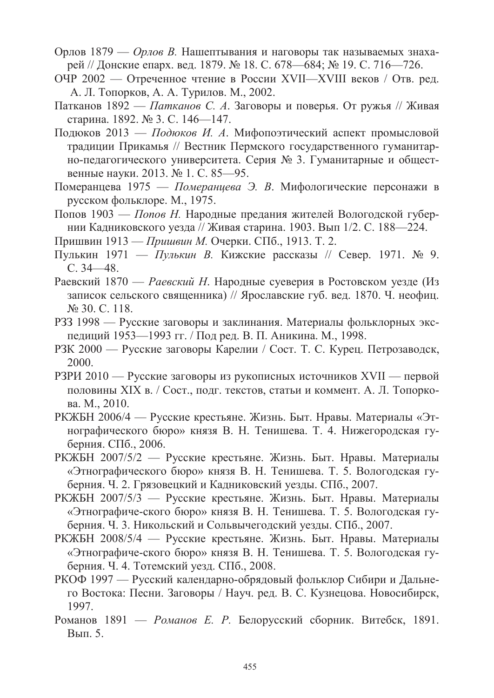- Орлов 1879 Орлов В. Нашептывания и наговоры так называемых знахарей // Донские епарх. вед. 1879. № 18. С. 678—684; № 19. С. 716—726.
- ОЧР 2002 Отреченное чтение в России XVII—XVIII веков / Отв. ред. А. Л. Топорков, А. А. Турилов. М., 2002.
- Патканов 1892 Патканов С. А. Заговоры и поверья. От ружья // Живая старина. 1892. № 3. С. 146-147.
- Подюков 2013 Подюков И. А. Мифопоэтический аспект промысловой традиции Прикамья // Вестник Пермского государственного гуманитарно-педагогического университета. Серия № 3. Гуманитарные и общественные науки. 2013. № 1. С. 85-95.
- Померанцева 1975 Померанцева Э. В. Мифологические персонажи в русском фольклоре. М., 1975.
- Попов 1903 Попов Н. Народные предания жителей Вологодской губернии Кадниковского уезда // Живая старина. 1903. Вып 1/2. С. 188—224.
- Пришвин 1913 Пришвин М. Очерки. СПб., 1913. Т. 2.
- Пулькин 1971 Пулькин В. Кижские рассказы // Север. 1971. № 9.  $C.34 - 48.$
- Раевский 1870 Раевский Н. Народные суеверия в Ростовском уезде (Из записок сельского священника) // Ярославские губ. вед. 1870. Ч. неофиц. № 30. C. 118.
- РЗЗ 1998 Русские заговоры и заклинания. Материалы фольклорных экспедиций 1953—1993 гг. / Под ред. В. П. Аникина. М., 1998.
- РЗК 2000 Русские заговоры Карелии / Сост. Т. С. Курец. Петрозаводск, 2000.
- РЗРИ 2010 Русские заговоры из рукописных источников XVII первой половины XIX в. / Сост., подг. текстов, статьи и коммент. А. Л. Топоркова. М., 2010.
- РКЖБН 2006/4 Русские крестьяне. Жизнь. Быт. Нравы. Материалы «Этнографического бюро» князя В. Н. Тенишева. Т. 4. Нижегородская губерния. СПб., 2006.
- РКЖБН 2007/5/2 Русские крестьяне. Жизнь. Быт. Нравы. Материалы «Этнографического бюро» князя В. Н. Тенишева. Т. 5. Вологодская губерния. Ч. 2. Грязовецкий и Кадниковский уезды. СПб., 2007.
- РКЖБН 2007/5/3 Русские крестьяне. Жизнь. Быт. Нравы. Материалы «Этнографиче-ского бюро» князя В. Н. Тенишева. Т. 5. Вологодская губерния. Ч. 3. Никольский и Сольвычегодский уезды. СПб., 2007.
- РКЖБН 2008/5/4 Русские крестьяне. Жизнь. Быт. Нравы. Материалы «Этнографиче-ского бюро» князя В. Н. Тенишева. Т. 5. Вологодская губерния. Ч. 4. Тотемский уезд. СПб., 2008.
- РКОФ 1997 Русский календарно-обрядовый фольклор Сибири и Дальнего Востока: Песни. Заговоры / Науч. ред. В. С. Кузнецова. Новосибирск, 1997.
- Романов 1891 Романов Е. Р. Белорусский сборник. Витебск, 1891. Вып. 5.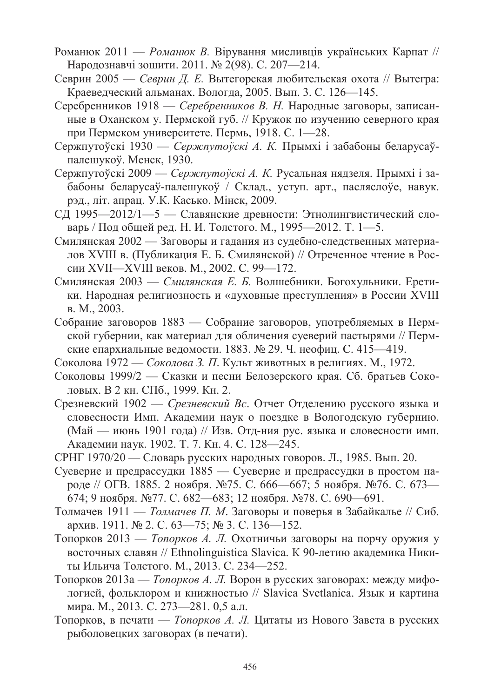- Романюк 2011 Романюк В. Вірування мисливців українських Карпат // Народознавчі зошити. 2011. № 2(98). С. 207-214.
- Севрин 2005 Севрин Д. Е. Вытегорская любительская охота // Вытегра: Краевелческий альманах. Вологла. 2005. Вып. 3. С. 126—145.
- Серебренников 1918 Серебренников В. Н. Народные заговоры, записанные в Оханском у. Пермской губ. // Кружок по изучению северного края при Пермском университете. Пермь, 1918. С. 1—28.
- Сержпутоўскі 1930 Сержпутоўскі А. К. Прымхі і забабоны беларусаўпалешукоў. Менск, 1930.
- Сержпутоўскі 2009 Сержпутоўскі А. К. Русальная нядзеля. Прымхі і забабоны беларусаў-палешукоў / Склад., уступ. арт., пасляслоўе, навук. рэд., літ. апрац. У.К. Касько. Мінск, 2009.
- СД 1995—2012/1—5 Славянские древности: Этнолингвистический словарь / Под общей ред. Н. И. Толстого. М., 1995—2012. Т. 1—5.
- Смилянская 2002 Заговоры и гадания из судебно-следственных материалов XVIII в. (Публикация Е. Б. Смилянской) // Отреченное чтение в России XVII—XVIII веков. М., 2002. С. 99—172.
- Смилянская 2003 Смилянская Е. Б. Волшебники. Богохульники. Еретики. Народная религиозность и «духовные преступления» в России XVIII в. М., 2003.
- Собрание заговоров 1883 Собрание заговоров, употребляемых в Пермской губернии, как материал для обличения суеверий пастырями // Пермские епархиальные ведомости. 1883. № 29. Ч. неофиц. С. 415—419.
- Соколова 1972 Соколова З. П. Культ животных в религиях. М., 1972.
- Соколовы 1999/2 Сказки и песни Белозерского края. Сб. братьев Соколовых. В 2 кн. СПб., 1999. Кн. 2.
- Срезневский 1902 Срезневский Вс. Отчет Отделению русского языка и словесности Имп. Академии наук о поездке в Вологодскую губернию. (Май — июнь 1901 года) // Изв. Отд-ния рус. языка и словесности имп. Академии наук. 1902. Т. 7. Кн. 4. С. 128—245.
- СРНГ 1970/20 Словарь русских народных говоров. Л., 1985. Вып. 20.
- Суеверие и предрассудки 1885 Суеверие и предрассудки в простом народе // ОГВ. 1885. 2 ноября. №75. С. 666—667; 5 ноября. №76. С. 673— 674; 9 ноября. №77. С. 682—683; 12 ноября. №78. С. 690—691.
- Толмачев 1911 Толмачев П. М. Заговоры и поверья в Забайкалье // Сиб. архив. 1911. № 2. С. 63—75; № 3. С. 136—152.
- Топорков 2013 *Топорков А. Л.* Охотничьи заговоры на порчу оружия у восточных славян // Ethnolinguistica Slavica. К 90-летию академика Никиты Ильича Толстого. М., 2013. С. 234-252.
- Топорков 2013а Топорков А. Л. Ворон в русских заговорах: между мифологией, фольклором и книжностью // Slavica Svetlanica. Язык и картина мира. М., 2013. С. 273—281. 0,5 а.л.
- Топорков, в печати *Топорков А. Л.* Цитаты из Нового Завета в русских рыболовецких заговорах (в печати).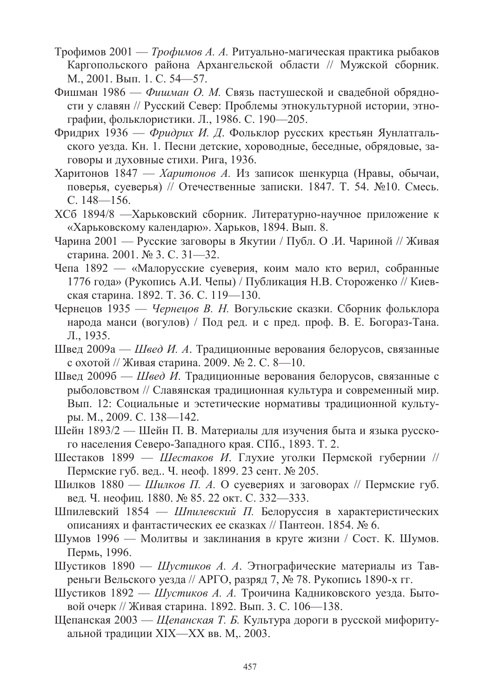- Трофимов 2001 Трофимов А. А. Ритуально-магическая практика рыбаков Каргопольского района Архангельской области // Мужской сборник. М., 2001. Вып. 1. С. 54-57.
- Фишман 1986 Фишман О. М. Связь пастушеской и свалебной обрядности у славян // Русский Север: Проблемы этнокультурной истории, этнографии, фольклористики. Л., 1986. С. 190-205.
- Фридрих 1936 Фридрих И. Д. Фольклор русских крестьян Яунлатгальского уезда. Кн. 1. Песни детские, хороводные, беседные, обрядовые, заговоры и духовные стихи. Рига, 1936.
- Харитонов 1847 Харитонов А. Из записок шенкурца (Нравы, обычаи, поверья, суеверья) // Отечественные записки. 1847. Т. 54. №10. Смесь.  $C.148 - 156.$
- ХСб 1894/8 —Харьковский сборник. Литературно-научное приложение к «Харьковскому календарю». Харьков, 1894. Вып. 8.
- Чарина 2001 Русские заговоры в Якутии / Публ. О.И. Чариной // Живая старина. 2001. № 3. С. 31—32.
- Чепа 1892 «Малорусские суеверия, коим мало кто верил, собранные 1776 года» (Рукопись А.И. Чепы) / Публикация Н.В. Стороженко // Киевская старина. 1892. Т. 36. С. 119-130.
- Чернецов 1935 Чернецов В. Н. Вогульские сказки. Сборник фольклора народа манси (вогулов) / Под ред. и с пред. проф. В. Е. Богораз-Тана. Л., 1935.
- Швед 2009а Швед И. А. Традиционные верования белорусов, связанные с охотой // Живая старина. 2009. № 2. С. 8—10.
- Швед 2009б Швед И. Традиционные верования белорусов, связанные с рыболовством // Славянская традиционная культура и современный мир. Вып. 12: Социальные и эстетические нормативы традиционной культуры. М., 2009. С. 138—142.
- Шейн 1893/2 Шейн П. В. Материалы для изучения быта и языка русского населения Северо-Западного края. СПб., 1893. Т. 2.
- Шестаков 1899 Шестаков И. Глухие уголки Пермской губернии // Пермские губ. вед.. Ч. неоф. 1899. 23 сент. № 205.
- Шилков 1880 Шилков П. А. О суевериях и заговорах // Пермские губ. вед. Ч. неофиц. 1880. № 85. 22 окт. С. 332—333.
- Шпилевский 1854 Шпилевский П. Белоруссия в характеристических описаниях и фантастических ее сказках // Пантеон. 1854. № 6.
- Шумов 1996 Молитвы и заклинания в круге жизни / Сост. К. Шумов. Пермь, 1996.
- Шустиков 1890 Шустиков А. А. Этнографические материалы из Тавреньги Вельского уезда // АРГО, разряд 7, № 78. Рукопись 1890-х гг.
- Шустиков 1892 Шустиков А. А. Троичина Кадниковского уезда. Бытовой очерк // Живая старина. 1892. Вып. 3. С. 106—138.
- Щепанская 2003 Щепанская Т. Б. Культура дороги в русской мифоритуальной традиции XIX—XX вв. М, 2003.